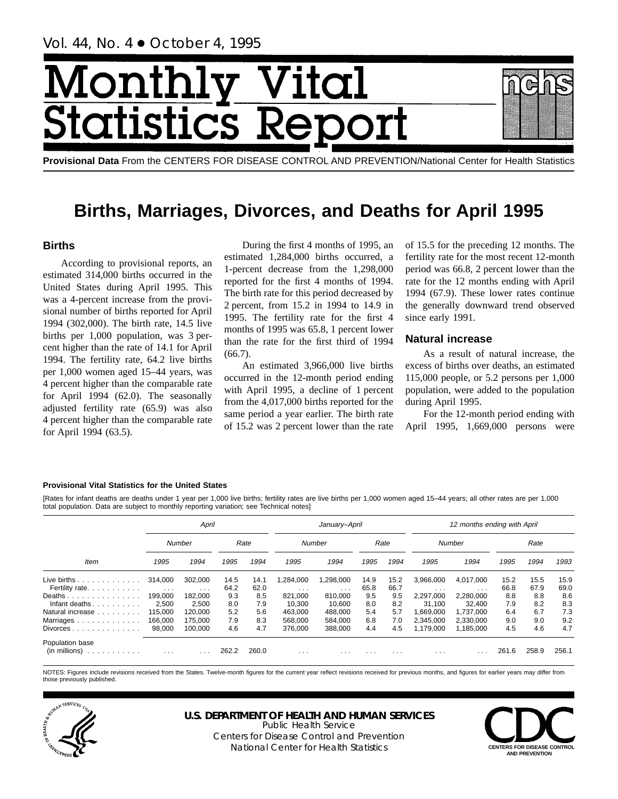# Month Vital tics R tatist

**Provisional Data** From the CENTERS FOR DISEASE CONTROL AND PREVENTION/National Center for Health Statistics

## **Births, Marriages, Divorces, and Deaths for April 1995**

## **Births**

According to provisional reports, an estimated 314,000 births occurred in the United States during April 1995. This was a 4-percent increase from the provisional number of births reported for April 1994 (302,000). The birth rate, 14.5 live births per 1,000 population, was 3 percent higher than the rate of 14.1 for April 1994. The fertility rate, 64.2 live births per 1,000 women aged 15–44 years, was 4 percent higher than the comparable rate for April 1994 (62.0). The seasonally adjusted fertility rate (65.9) was also 4 percent higher than the comparable rate for April 1994 (63.5).

During the first 4 months of 1995, an estimated 1,284,000 births occurred, a 1-percent decrease from the 1,298,000 reported for the first 4 months of 1994. The birth rate for this period decreased by 2 percent, from 15.2 in 1994 to 14.9 in 1995. The fertility rate for the first 4 months of 1995 was 65.8, 1 percent lower than the rate for the first third of 1994  $(66.7).$ 

An estimated 3,966,000 live births occurred in the 12-month period ending with April 1995, a decline of 1 percent from the 4,017,000 births reported for the same period a year earlier. The birth rate of 15.2 was 2 percent lower than the rate of 15.5 for the preceding 12 months. The fertility rate for the most recent 12-month period was 66.8, 2 percent lower than the rate for the 12 months ending with April 1994 (67.9). These lower rates continue the generally downward trend observed since early 1991.

## **Natural increase**

As a result of natural increase, the excess of births over deaths, an estimated 115,000 people, or 5.2 persons per 1,000 population, were added to the population during April 1995.

For the 12-month period ending with April 1995, 1,669,000 persons were

#### **Provisional Vital Statistics for the United States**

[Rates for infant deaths are deaths under 1 year per 1,000 live births; fertility rates are live births per 1,000 women aged 15–44 years; all other rates are per 1,000 total population. Data are subject to monthly reporting variation; see Technical notes]

|                                                         |                      | April                   |       |       |          | January-April |          |      |           | 12 months ending with April |       |       |       |
|---------------------------------------------------------|----------------------|-------------------------|-------|-------|----------|---------------|----------|------|-----------|-----------------------------|-------|-------|-------|
|                                                         |                      | Number                  |       | Rate  |          | Number        |          | Rate |           | Number                      |       | Rate  |       |
| Item                                                    | 1995                 | 1994                    | 1995  | 1994  | 1995     | 1994          | 1995     | 1994 | 1995      | 1994                        | 1995  | 1994  | 1993  |
| Live births $\ldots$                                    | 314,000              | 302.000                 | 14.5  | 14.1  | ,284,000 | .298,000      | 14.9     | 15.2 | 3,966,000 | 4,017,000                   | 15.2  | 15.5  | 15.9  |
| Fertility rate.                                         | $\sim$ $\sim$ $\sim$ | $\cdots$                | 64.2  | 62.0  | $\cdots$ | $\cdots$      | 65.8     | 66.7 | $\cdots$  | .                           | 66.8  | 67.9  | 69.0  |
| Deaths                                                  | 199,000              | 182,000                 | 9.3   | 8.5   | 821,000  | 810.000       | 9.5      | 9.5  | 2,297,000 | 2,280,000                   | 8.8   | 8.8   | 8.6   |
| Infant deaths. $\ldots$ .                               | 2,500                | 2,500                   | 8.0   | 7.9   | 10,300   | 10.600        | 8.0      | 8.2  | 31,100    | 32,400                      | 7.9   | 8.2   | 8.3   |
| Natural increase                                        | 115.000              | 120.000                 | 5.2   | 5.6   | 463.000  | 488.000       | 5.4      | 5.7  | 1.669.000 | 1.737.000                   | 6.4   | 6.7   | 7.3   |
| Marriages                                               | 166,000              | 175.000                 | 7.9   | 8.3   | 568,000  | 584.000       | 6.8      | 7.0  | 2,345,000 | 2,330,000                   | 9.0   | 9.0   | 9.2   |
| Divorces                                                | 98,000               | 100.000                 | 4.6   | 4.7   | 376,000  | 388,000       | 4.4      | 4.5  | 1,179,000 | 1,185,000                   | 4.5   | 4.6   | 4.7   |
| Population base<br>$(in$ millions $) \dots \dots \dots$ | $\cdots$             | $\cdot$ $\cdot$ $\cdot$ | 262.2 | 260.0 | $\cdots$ | $\cdots$      | $\cdots$ | .    | $\cdots$  | .                           | 261.6 | 258.9 | 256.1 |

NOTES: Figures include revisions received from the States. Twelve-month figures for the current year reflect revisions received for previous months, and figures for earlier years may differ from those previously published.



**U.S. DEPARTMENT OF HEALTH AND HUMAN SERVICES** Public Health Service

Centers for Disease Control and Prevention National Center for Health Statistics **CENTERS FOR DISEASE CONTROL** 

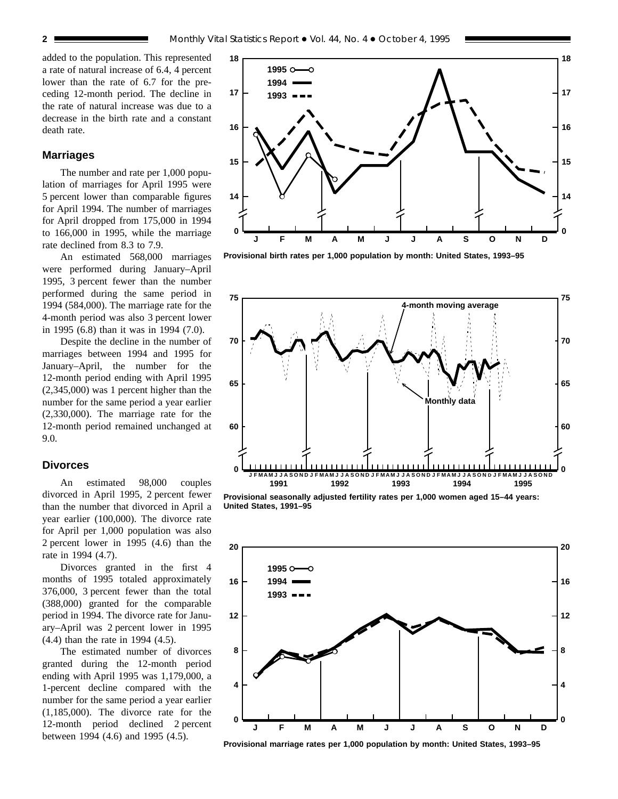added to the population. This represented a rate of natural increase of 6.4, 4 percent lower than the rate of 6.7 for the preceding 12-month period. The decline in the rate of natural increase was due to a decrease in the birth rate and a constant death rate.

## **Marriages**

The number and rate per 1,000 population of marriages for April 1995 were 5 percent lower than comparable figures for April 1994. The number of marriages for April dropped from 175,000 in 1994 to 166,000 in 1995, while the marriage rate declined from 8.3 to 7.9.

An estimated 568,000 marriages were performed during January–April 1995, 3 percent fewer than the number performed during the same period in 1994 (584,000). The marriage rate for the 4-month period was also 3 percent lower in 1995 (6.8) than it was in 1994 (7.0).

Despite the decline in the number of marriages between 1994 and 1995 for January–April, the number for the 12-month period ending with April 1995 (2,345,000) was 1 percent higher than the number for the same period a year earlier (2,330,000). The marriage rate for the 12-month period remained unchanged at 9.0.

### **Divorces**

An estimated 98,000 couples divorced in April 1995, 2 percent fewer than the number that divorced in April a year earlier (100,000). The divorce rate for April per 1,000 population was also 2 percent lower in 1995 (4.6) than the rate in 1994 (4.7).

Divorces granted in the first 4 months of 1995 totaled approximately 376,000, 3 percent fewer than the total (388,000) granted for the comparable period in 1994. The divorce rate for January–April was 2 percent lower in 1995 (4.4) than the rate in 1994 (4.5).

The estimated number of divorces granted during the 12-month period ending with April 1995 was 1,179,000, a 1-percent decline compared with the number for the same period a year earlier (1,185,000). The divorce rate for the 12-month period declined 2 percent between 1994 (4.6) and 1995 (4.5).



**Provisional birth rates per 1,000 population by month: United States, 1993–95**



**Provisional seasonally adjusted fertility rates per 1,000 women aged 15–44 years: United States, 1991–95**



**Provisional marriage rates per 1,000 population by month: United States, 1993–95**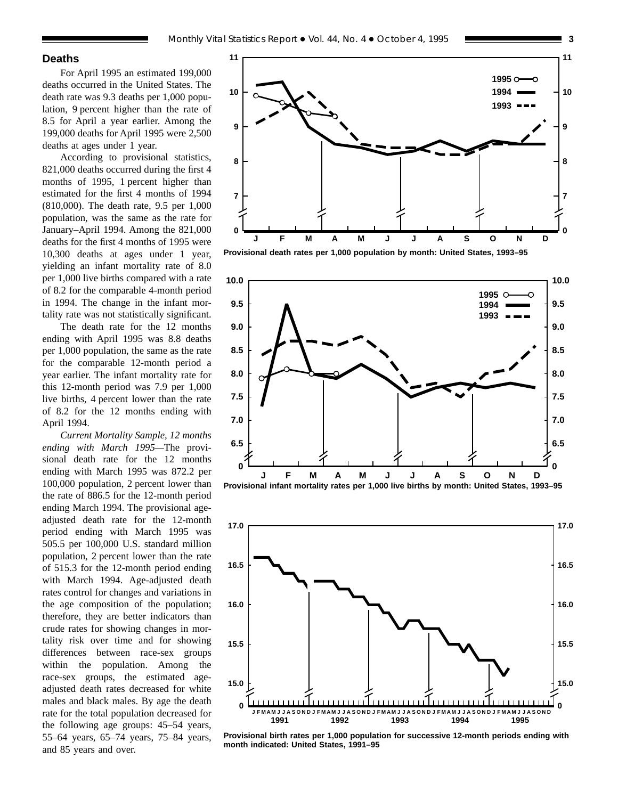#### **Deaths**

For April 1995 an estimated 199,000 deaths occurred in the United States. The death rate was 9.3 deaths per 1,000 population, 9 percent higher than the rate of 8.5 for April a year earlier. Among the 199,000 deaths for April 1995 were 2,500 deaths at ages under 1 year.

According to provisional statistics, 821,000 deaths occurred during the first 4 months of 1995, 1 percent higher than estimated for the first 4 months of 1994 (810,000). The death rate, 9.5 per 1,000 population, was the same as the rate for January–April 1994. Among the 821,000 deaths for the first 4 months of 1995 were 10,300 deaths at ages under 1 year, yielding an infant mortality rate of 8.0 per 1,000 live births compared with a rate of 8.2 for the comparable 4-month period in 1994. The change in the infant mortality rate was not statistically significant.

The death rate for the 12 months ending with April 1995 was 8.8 deaths per 1,000 population, the same as the rate for the comparable 12-month period a year earlier. The infant mortality rate for this 12-month period was 7.9 per 1,000 live births, 4 percent lower than the rate of 8.2 for the 12 months ending with April 1994.

*Current Mortality Sample, 12 months ending with March 1995—*The provisional death rate for the 12 months ending with March 1995 was 872.2 per 100,000 population, 2 percent lower than the rate of 886.5 for the 12-month period ending March 1994. The provisional ageadjusted death rate for the 12-month period ending with March 1995 was 505.5 per 100,000 U.S. standard million population, 2 percent lower than the rate of 515.3 for the 12-month period ending with March 1994. Age-adjusted death rates control for changes and variations in the age composition of the population; therefore, they are better indicators than crude rates for showing changes in mortality risk over time and for showing differences between race-sex groups within the population. Among the race-sex groups, the estimated ageadjusted death rates decreased for white males and black males. By age the death rate for the total population decreased for the following age groups: 45–54 years, 55–64 years, 65–74 years, 75–84 years, and 85 years and over.



**Provisional death rates per 1,000 population by month: United States, 1993–95**





**Provisional birth rates per 1,000 population for successive 12-month periods ending with month indicated: United States, 1991–95**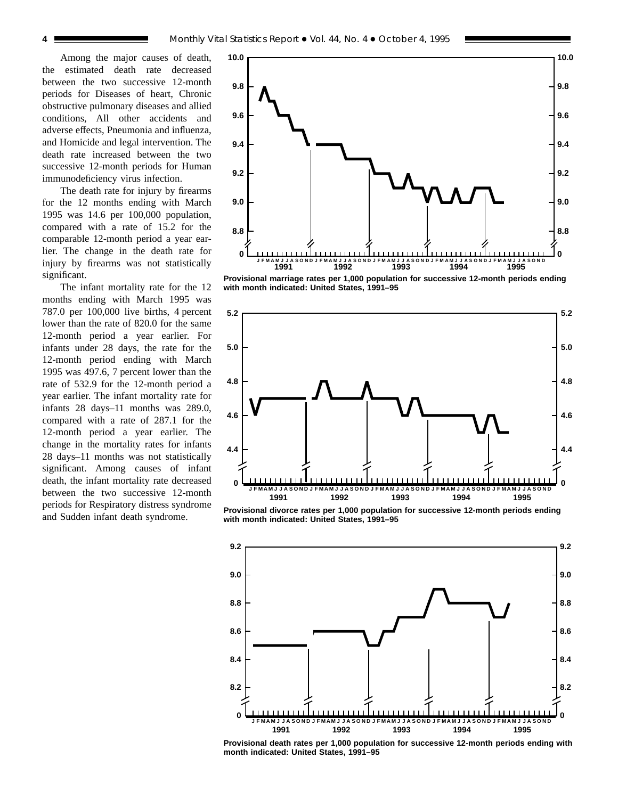Among the major causes of death, the estimated death rate decreased between the two successive 12-month periods for Diseases of heart, Chronic obstructive pulmonary diseases and allied conditions, All other accidents and adverse effects, Pneumonia and influenza, and Homicide and legal intervention. The death rate increased between the two successive 12-month periods for Human immunodeficiency virus infection.

The death rate for injury by firearms for the 12 months ending with March 1995 was 14.6 per 100,000 population, compared with a rate of 15.2 for the comparable 12-month period a year earlier. The change in the death rate for injury by firearms was not statistically significant.

The infant mortality rate for the 12 months ending with March 1995 was 787.0 per 100,000 live births, 4 percent lower than the rate of 820.0 for the same 12-month period a year earlier. For infants under 28 days, the rate for the 12-month period ending with March 1995 was 497.6, 7 percent lower than the rate of 532.9 for the 12-month period a year earlier. The infant mortality rate for infants 28 days–11 months was 289.0, compared with a rate of 287.1 for the 12-month period a year earlier. The change in the mortality rates for infants 28 days–11 months was not statistically significant. Among causes of infant death, the infant mortality rate decreased between the two successive 12-month periods for Respiratory distress syndrome and Sudden infant death syndrome.



**Provisional marriage rates per 1,000 population for successive 12-month periods ending with month indicated: United States, 1991–95**



**Provisional divorce rates per 1,000 population for successive 12-month periods ending with month indicated: United States, 1991–95**



**Provisional death rates per 1,000 population for successive 12-month periods ending with month indicated: United States, 1991–95**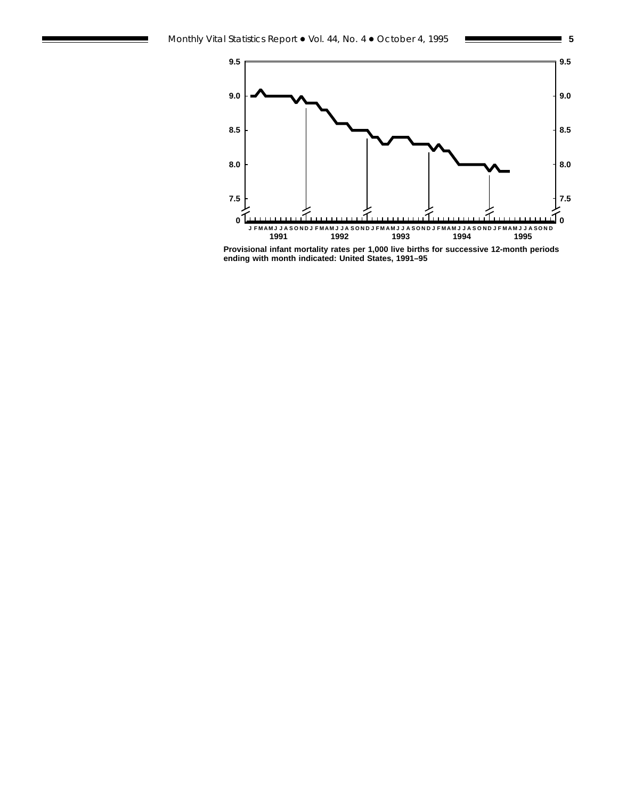

**Provisional infant mortality rates per 1,000 live births for successive 12-month periods ending with month indicated: United States, 1991–95**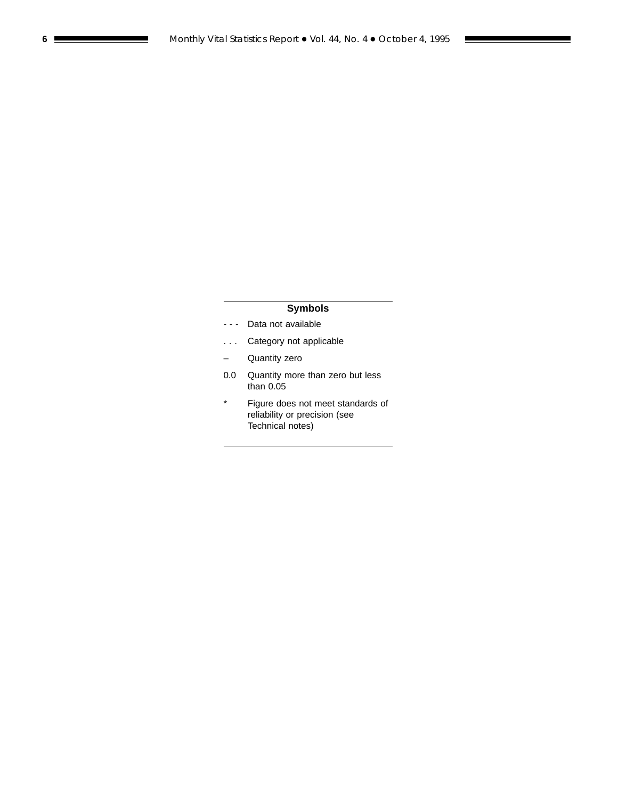## **Symbols**

- - Data not available
- . . . Category not applicable
- Quantity zero
- 0.0 Quantity more than zero but less than 0.05
- \* Figure does not meet standards of reliability or precision (see Technical notes)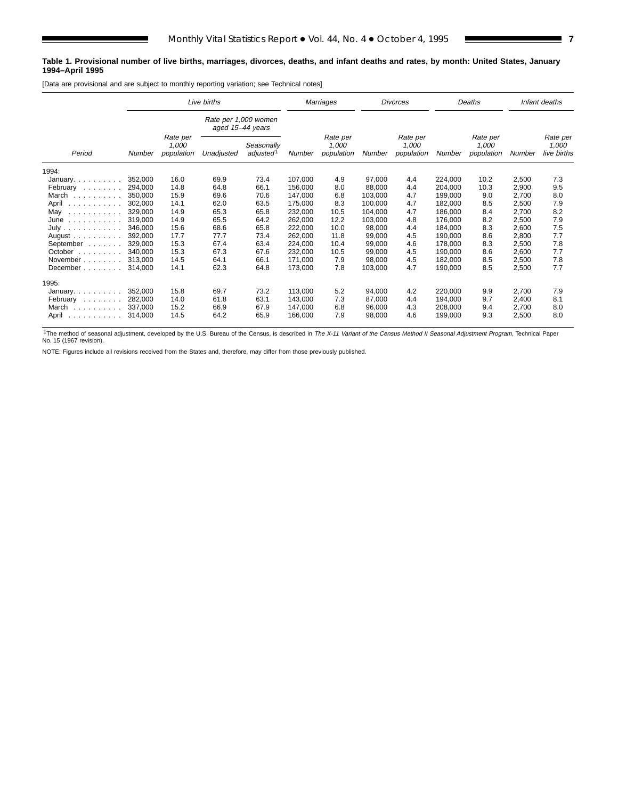#### **Table 1. Provisional number of live births, marriages, divorces, deaths, and infant deaths and rates, by month: United States, January 1994–April 1995**

[Data are provisional and are subject to monthly reporting variation; see Technical notes]

|                                                                                                      |         |                                 | Live births                              |                                     |         | Marriages                       |         | <b>Divorces</b>                 |         | Deaths                          |        | Infant deaths                    |
|------------------------------------------------------------------------------------------------------|---------|---------------------------------|------------------------------------------|-------------------------------------|---------|---------------------------------|---------|---------------------------------|---------|---------------------------------|--------|----------------------------------|
|                                                                                                      |         |                                 | Rate per 1,000 women<br>aged 15-44 years |                                     |         |                                 |         |                                 |         |                                 |        |                                  |
| Period                                                                                               | Number  | Rate per<br>1,000<br>population | Unadjusted                               | Seasonally<br>adjusted <sup>1</sup> | Number  | Rate per<br>1,000<br>population | Number  | Rate per<br>1,000<br>population | Number  | Rate per<br>1,000<br>population | Number | Rate per<br>1,000<br>live births |
| 1994:                                                                                                |         |                                 |                                          |                                     |         |                                 |         |                                 |         |                                 |        |                                  |
| January.                                                                                             | 352,000 | 16.0                            | 69.9                                     | 73.4                                | 107,000 | 4.9                             | 97,000  | 4.4                             | 224,000 | 10.2                            | 2,500  | 7.3                              |
| February                                                                                             | 294.000 | 14.8                            | 64.8                                     | 66.1                                | 156,000 | 8.0                             | 88,000  | 4.4                             | 204,000 | 10.3                            | 2,900  | 9.5                              |
| March                                                                                                | 350.000 | 15.9                            | 69.6                                     | 70.6                                | 147,000 | 6.8                             | 103,000 | 4.7                             | 199,000 | 9.0                             | 2,700  | 8.0                              |
| April                                                                                                | 302.000 | 14.1                            | 62.0                                     | 63.5                                | 175,000 | 8.3                             | 100,000 | 4.7                             | 182,000 | 8.5                             | 2,500  | 7.9                              |
| May<br>$\begin{array}{cccccccccccccc} . & . & . & . & . & . & . & . & . & . & . & . & . \end{array}$ | 329,000 | 14.9                            | 65.3                                     | 65.8                                | 232,000 | 10.5                            | 104,000 | 4.7                             | 186,000 | 8.4                             | 2,700  | 8.2                              |
| $June \dots \dots \dots \dots$                                                                       | 319.000 | 14.9                            | 65.5                                     | 64.2                                | 262,000 | 12.2                            | 103,000 | 4.8                             | 176,000 | 8.2                             | 2,500  | 7.9                              |
| July                                                                                                 | 346,000 | 15.6                            | 68.6                                     | 65.8                                | 222,000 | 10.0                            | 98,000  | 4.4                             | 184,000 | 8.3                             | 2,600  | 7.5                              |
| August $\ldots$ , $\ldots$ , $\ldots$                                                                | 392,000 | 17.7                            | 77.7                                     | 73.4                                | 262,000 | 11.8                            | 99,000  | 4.5                             | 190,000 | 8.6                             | 2,800  | 7.7                              |
| September                                                                                            | 329,000 | 15.3                            | 67.4                                     | 63.4                                | 224,000 | 10.4                            | 99,000  | 4.6                             | 178,000 | 8.3                             | 2,500  | 7.8                              |
| October $\ldots$                                                                                     | 340.000 | 15.3                            | 67.3                                     | 67.6                                | 232,000 | 10.5                            | 99,000  | 4.5                             | 190,000 | 8.6                             | 2,600  | 7.7                              |
| November                                                                                             | 313.000 | 14.5                            | 64.1                                     | 66.1                                | 171,000 | 7.9                             | 98,000  | 4.5                             | 182,000 | 8.5                             | 2,500  | 7.8                              |
| December                                                                                             | 314.000 | 14.1                            | 62.3                                     | 64.8                                | 173,000 | 7.8                             | 103,000 | 4.7                             | 190,000 | 8.5                             | 2,500  | 7.7                              |
| 1995:                                                                                                |         |                                 |                                          |                                     |         |                                 |         |                                 |         |                                 |        |                                  |
| January.                                                                                             | 352,000 | 15.8                            | 69.7                                     | 73.2                                | 113,000 | 5.2                             | 94,000  | 4.2                             | 220,000 | 9.9                             | 2,700  | 7.9                              |
| February                                                                                             | 282.000 | 14.0                            | 61.8                                     | 63.1                                | 143.000 | 7.3                             | 87,000  | 4.4                             | 194,000 | 9.7                             | 2,400  | 8.1                              |
| March                                                                                                | 337.000 | 15.2                            | 66.9                                     | 67.9                                | 147,000 | 6.8                             | 96,000  | 4.3                             | 208,000 | 9.4                             | 2,700  | 8.0                              |
| April<br>.                                                                                           | 314,000 | 14.5                            | 64.2                                     | 65.9                                | 166,000 | 7.9                             | 98,000  | 4.6                             | 199,000 | 9.3                             | 2,500  | 8.0                              |

<sup>1</sup>The method of seasonal adjustment, developed by the U.S. Bureau of the Census, is described in The X-11 Variant of the Census Method II Seasonal Adjustment Program, Technical Paper No. 15 (1967 revision).

NOTE: Figures include all revisions received from the States and, therefore, may differ from those previously published.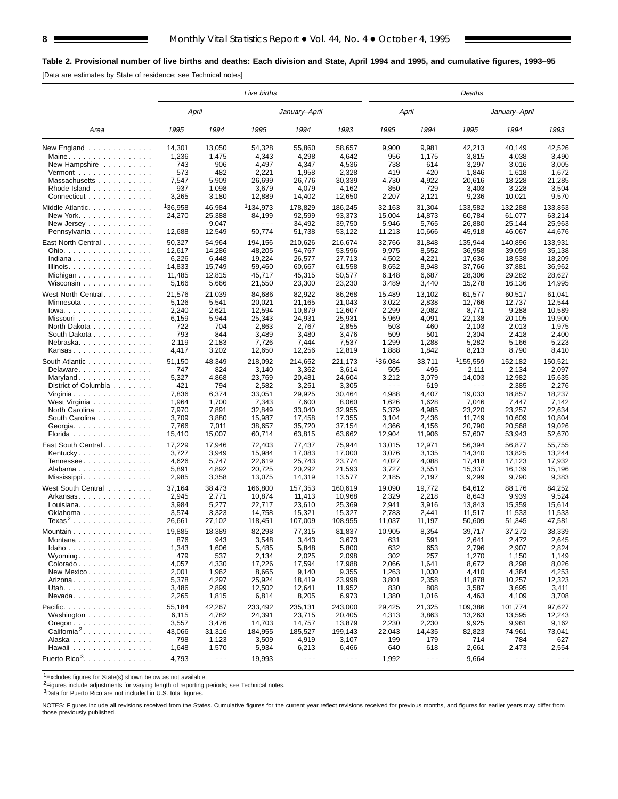## **Table 2. Provisional number of live births and deaths: Each division and State, April 1994 and 1995, and cumulative figures, 1993–95**

[Data are estimates by State of residence; see Technical notes]

|                                                                 |                      |                      | Live births          |                      |                      |                      |                      | Deaths                                                                                                                                                                                                                                                                                                                                                                                       |               |                      |
|-----------------------------------------------------------------|----------------------|----------------------|----------------------|----------------------|----------------------|----------------------|----------------------|----------------------------------------------------------------------------------------------------------------------------------------------------------------------------------------------------------------------------------------------------------------------------------------------------------------------------------------------------------------------------------------------|---------------|----------------------|
|                                                                 | April                |                      |                      | January-April        |                      | April                |                      |                                                                                                                                                                                                                                                                                                                                                                                              | January-April |                      |
| Area                                                            | 1995                 | 1994                 | 1995                 | 1994                 | 1993                 | 1995                 | 1994                 | 1995                                                                                                                                                                                                                                                                                                                                                                                         | 1994          | 1993                 |
| New England $\ldots$                                            | 14,301               | 13,050               | 54,328               | 55,860               | 58,657               | 9,900                | 9,981                | 42,213                                                                                                                                                                                                                                                                                                                                                                                       | 40.149        | 42,526               |
| Maine                                                           | 1,236                | 1,475                | 4,343                | 4,298                | 4,642                | 956                  | 1,175                | 3,815                                                                                                                                                                                                                                                                                                                                                                                        | 4,038         | 3,490                |
| New Hampshire                                                   | 743                  | 906                  | 4,497                | 4,347                | 4,536                | 738                  | 614                  | 3,297                                                                                                                                                                                                                                                                                                                                                                                        | 3,016         | 3,005                |
| Vermont $\dots\dots\dots\dots\dots\dots$                        | 573                  | 482                  | 2,221                | 1,958                | 2,328                | 419                  | 420                  | 1,846                                                                                                                                                                                                                                                                                                                                                                                        | 1,618         | 1,672                |
| Massachusetts                                                   | 7,547                | 5,909                | 26,699               | 26,776               | 30,339               | 4,730                | 4,922                | 20,616                                                                                                                                                                                                                                                                                                                                                                                       | 18,228        | 21,285               |
| Rhode Island                                                    | 937                  | 1,098                | 3,679                | 4,079                | 4,162                | 850                  | 729                  | 3,403                                                                                                                                                                                                                                                                                                                                                                                        | 3,228         | 3,504                |
| Connecticut                                                     | 3,265                | 3,180                | 12,889               | 14,402               | 12,650               | 2,207                | 2,121                | 9,236                                                                                                                                                                                                                                                                                                                                                                                        | 10,021        | 9,570                |
| Middle Atlantic                                                 | 136,958              | 46,984               | 1134,973             | 178,829              | 186,245              | 32,163               | 31,304               | 133,582                                                                                                                                                                                                                                                                                                                                                                                      | 132,288       | 133,853              |
| New York.                                                       | 24,270               | 25,388               | 84,199               | 92,599               | 93,373               | 15,004               | 14,873               | 60,784                                                                                                                                                                                                                                                                                                                                                                                       | 61,077        | 63,214               |
| New Jersey                                                      | $\sim$ $\sim$ $\sim$ | 9,047                | $\sim$ $\sim$ $\sim$ | 34,492               | 39,750               | 5,946                | 5,765                | 26.880                                                                                                                                                                                                                                                                                                                                                                                       | 25,144        | 25,963               |
| Pennsylvania                                                    | 12,688               | 12,549               | 50,774               | 51,738               | 53,122               | 11,213               | 10,666               | 45,918                                                                                                                                                                                                                                                                                                                                                                                       | 46,067        | 44,676               |
| East North Central                                              | 50,327               | 54,964               | 194,156              | 210,626              | 216,674              | 32,766               | 31,848               | 135,944                                                                                                                                                                                                                                                                                                                                                                                      | 140,896       | 133,931              |
| Ohio.                                                           | 12,617               | 14,286               | 48,205               | 54,767               | 53,596               | 9,975                | 8,552                | 36,958                                                                                                                                                                                                                                                                                                                                                                                       | 39,059        | 35,138               |
| Indiana                                                         | 6,226                | 6,448                | 19,224               |                      |                      | 4,502                |                      | 17,636                                                                                                                                                                                                                                                                                                                                                                                       |               | 18,209               |
|                                                                 |                      |                      |                      | 26,577               | 27,713               | 8,652                | 4,221<br>8,948       |                                                                                                                                                                                                                                                                                                                                                                                              | 18,538        | 36,962               |
| Illinois.                                                       | 14,833               | 15,749               | 59,460               | 60,667               | 61,558               |                      |                      | 37,766                                                                                                                                                                                                                                                                                                                                                                                       | 37,881        |                      |
| Michigan                                                        | 11,485               | 12,815               | 45,717               | 45,315               | 50,577               | 6,148                | 6,687                | 28,306                                                                                                                                                                                                                                                                                                                                                                                       | 29,282        | 28,627               |
| Wisconsin                                                       | 5,166                | 5,666                | 21,550               | 23,300               | 23,230               | 3,489                | 3,440                | 15,278                                                                                                                                                                                                                                                                                                                                                                                       | 16,136        | 14,995               |
| West North Central                                              | 21,576               | 21,039               | 84,686               | 82,922               | 86,268               | 15,489               | 13.102               | 61,577                                                                                                                                                                                                                                                                                                                                                                                       | 60,517        | 61,041               |
| Minnesota                                                       | 5,126                | 5,541                | 20,021               | 21,165               | 21,043               | 3,022                | 2,838                | 12.766                                                                                                                                                                                                                                                                                                                                                                                       | 12,737        | 12,544               |
| $lowa.$                                                         | 2,240                | 2,621                | 12,594               | 10,879               | 12,607               | 2,299                | 2,082                | 8,771                                                                                                                                                                                                                                                                                                                                                                                        | 9,288         | 10,589               |
| Missouri                                                        | 6,159                | 5,944                | 25,343               | 24,931               | 25,931               | 5,969                | 4,091                | 22,138                                                                                                                                                                                                                                                                                                                                                                                       | 20,105        | 19,900               |
| North Dakota                                                    | 722                  | 704                  | 2,863                | 2,767                | 2,855                | 503                  | 460                  | 2,103                                                                                                                                                                                                                                                                                                                                                                                        | 2,013         | 1,975                |
| South Dakota                                                    | 793                  | 844                  | 3,489                | 3,480                | 3,476                | 509                  | 501                  | 2,304                                                                                                                                                                                                                                                                                                                                                                                        | 2,418         | 2,400                |
| Nebraska                                                        | 2,119                | 2,183                | 7,726                | 7,444                | 7,537                | 1,299                | 1,288                | 5,282                                                                                                                                                                                                                                                                                                                                                                                        | 5,166         | 5,223                |
| Kansas                                                          | 4,417                | 3,202                | 12,650               | 12,256               | 12,819               | 1,888                | 1,842                | 8,213                                                                                                                                                                                                                                                                                                                                                                                        | 8,790         | 8,410                |
| South Atlantic                                                  | 51,150               | 48,349               | 218.092              | 214.652              | 221,173              | <sup>1</sup> 36,084  | 33,711               | <sup>1</sup> 155,559                                                                                                                                                                                                                                                                                                                                                                         | 152,182       | 150,521              |
| Delaware.                                                       | 747                  | 824                  | 3,140                | 3,362                | 3,614                | 505                  | 495                  | 2,111                                                                                                                                                                                                                                                                                                                                                                                        | 2,134         | 2,097                |
|                                                                 | 5,327                | 4,868                | 23,769               | 20,481               | 24,604               | 3,212                | 3,079                | 14.003                                                                                                                                                                                                                                                                                                                                                                                       | 12,982        | 15,635               |
| Maryland<br>District of Columbia                                | 421                  | 794                  | 2,582                | 3,251                | 3,305                | $\sim$ $\sim$ $\sim$ | 619                  | $\frac{1}{2} \frac{1}{2} \frac{1}{2} \frac{1}{2} \frac{1}{2} \frac{1}{2} \frac{1}{2} \frac{1}{2} \frac{1}{2} \frac{1}{2} \frac{1}{2} \frac{1}{2} \frac{1}{2} \frac{1}{2} \frac{1}{2} \frac{1}{2} \frac{1}{2} \frac{1}{2} \frac{1}{2} \frac{1}{2} \frac{1}{2} \frac{1}{2} \frac{1}{2} \frac{1}{2} \frac{1}{2} \frac{1}{2} \frac{1}{2} \frac{1}{2} \frac{1}{2} \frac{1}{2} \frac{1}{2} \frac{$ | 2,385         | 2,276                |
|                                                                 | 7,836                | 6,374                | 33,051               | 29,925               | 30,464               | 4,988                | 4,407                | 19,033                                                                                                                                                                                                                                                                                                                                                                                       | 18,857        | 18,237               |
| Virginia                                                        |                      | 1,700                |                      | 7,600                | 8,060                |                      |                      |                                                                                                                                                                                                                                                                                                                                                                                              | 7,447         |                      |
| West Virginia                                                   | 1,964                |                      | 7,343                |                      |                      | 1,626                | 1,628                | 7,046                                                                                                                                                                                                                                                                                                                                                                                        |               | 7,142                |
| North Carolina                                                  | 7,970                | 7,891                | 32,849               | 33,040               | 32,955               | 5,379                | 4,985                | 23,220                                                                                                                                                                                                                                                                                                                                                                                       | 23,257        | 22,634               |
| South Carolina                                                  | 3,709                | 3,880                | 15,987               | 17,458               | 17,355               | 3,104                | 2,436                | 11,749                                                                                                                                                                                                                                                                                                                                                                                       | 10,609        | 10,804               |
| Georgia.                                                        | 7,766                | 7,011                | 38,657               | 35,720               | 37,154               | 4,366                | 4,156                | 20,790                                                                                                                                                                                                                                                                                                                                                                                       | 20,568        | 19,026               |
| Florida                                                         | 15,410               | 15,007               | 60,714               | 63,815               | 63,662               | 12,904               | 11,906               | 57,607                                                                                                                                                                                                                                                                                                                                                                                       | 53,943        | 52,670               |
| East South Central                                              | 17,229               | 17,946               | 72,403               | 77,437               | 75,944               | 13,015               | 12,971               | 56,394                                                                                                                                                                                                                                                                                                                                                                                       | 56,877        | 55,755               |
| Kentucky                                                        | 3,727                | 3,949                | 15,984               | 17,083               | 17,000               | 3,076                | 3,135                | 14,340                                                                                                                                                                                                                                                                                                                                                                                       | 13,825        | 13,244               |
| Tennessee                                                       | 4,626                | 5,747                | 22,619               | 25,743               | 23,774               | 4,027                | 4,088                | 17,418                                                                                                                                                                                                                                                                                                                                                                                       | 17,123        | 17,932               |
| Alabama                                                         | 5,891                | 4,892                | 20,725               | 20,292               | 21,593               | 3,727                | 3,551                | 15,337                                                                                                                                                                                                                                                                                                                                                                                       | 16,139        | 15,196               |
| Mississippi                                                     | 2,985                | 3,358                | 13,075               | 14,319               | 13,577               | 2,185                | 2,197                | 9,299                                                                                                                                                                                                                                                                                                                                                                                        | 9,790         | 9,383                |
| West South Central                                              | 37,164               | 38,473               | 166,800              | 157,353              | 160,619              | 19,090               | 19,772               | 84,612                                                                                                                                                                                                                                                                                                                                                                                       | 88,176        | 84,252               |
| Arkansas                                                        | 2,945                | 2,771                | 10,874               | 11,413               | 10,968               | 2,329                | 2,218                | 8,643                                                                                                                                                                                                                                                                                                                                                                                        | 9,939         | 9,524                |
| Louisiana.                                                      | 3,984                | 5,277                | 22,717               | 23,610               | 25,369               | 2,941                | 3,916                | 13.843                                                                                                                                                                                                                                                                                                                                                                                       | 15,359        | 15,614               |
| Oklahoma                                                        | 3,574                | 3,323                | 14,758               | 15,321               | 15,327               | 2,783                | 2,441                | 11,517                                                                                                                                                                                                                                                                                                                                                                                       | 11,533        | 11,533               |
| Texas <sup>2</sup>                                              | 26,661               | 27,102               | 118,451              | 107,009              | 108,955              | 11,037               | 11,197               | 50,609                                                                                                                                                                                                                                                                                                                                                                                       | 51,345        | 47,581               |
|                                                                 |                      |                      |                      |                      |                      |                      |                      |                                                                                                                                                                                                                                                                                                                                                                                              |               |                      |
| Mountain                                                        | 19,885               | 18,389               | 82,298               | 77,315               | 81,837               | 10,905               | 8,354                | 39,717                                                                                                                                                                                                                                                                                                                                                                                       | 37,272        | 38,339               |
| Montana                                                         | 876                  | 943                  | 3,548                | 3,443                | 3,673                | 631                  | 591                  | 2,641                                                                                                                                                                                                                                                                                                                                                                                        | 2,472         | 2,645                |
| $Idaho$                                                         | 1,343                | 1,606                | 5,485                | 5,848                | 5,800                | 632                  | 653                  | 2,796                                                                                                                                                                                                                                                                                                                                                                                        | 2,907         | 2,824                |
| Wyoming                                                         | 479                  | 537                  | 2,134                | 2,025                | 2,098                | 302                  | 257                  | 1,270                                                                                                                                                                                                                                                                                                                                                                                        | 1,150         | 1,149                |
| Colorado                                                        | 4,057                | 4,330                | 17,226               | 17,594               | 17,988               | 2,066                | 1,641                | 8,672                                                                                                                                                                                                                                                                                                                                                                                        | 8,298         | 8,026                |
| New Mexico                                                      | 2,001                | 1,962                | 8,665                | 9,140                | 9,355                | 1,263                | 1,030                | 4,410                                                                                                                                                                                                                                                                                                                                                                                        | 4,384         | 4,253                |
| Arizona                                                         | 5,378                | 4,297                | 25,924               | 18,419               | 23,998               | 3,801                | 2,358                | 11,878                                                                                                                                                                                                                                                                                                                                                                                       | 10,257        | 12,323               |
| Utah.                                                           | 3,486                | 2,899                | 12,502               | 12,641               | 11,952               | 830                  | 808                  | 3,587                                                                                                                                                                                                                                                                                                                                                                                        | 3,695         | 3,411                |
| $N$ evada                                                       | 2,265                | 1,815                | 6,814                | 8,205                | 6,973                | 1,380                | 1,016                | 4,463                                                                                                                                                                                                                                                                                                                                                                                        | 4,109         | 3,708                |
| Pacific.                                                        | 55,184               | 42,267               | 233,492              | 235,131              | 243,000              | 29,425               | 21,325               | 109,386                                                                                                                                                                                                                                                                                                                                                                                      | 101,774       | 97,627               |
| Washington                                                      | 6,115                | 4,782                | 24,391               | 23,715               | 20,405               | 4,313                | 3,863                | 13,263                                                                                                                                                                                                                                                                                                                                                                                       | 13,595        | 12,243               |
| $O$ regon $\ldots$ $\ldots$ $\ldots$ $\ldots$ $\ldots$ $\ldots$ | 3,557                | 3,476                | 14,703               | 14,757               | 13,879               | 2,230                | 2,230                | 9,925                                                                                                                                                                                                                                                                                                                                                                                        | 9,961         | 9,162                |
| California <sup>2</sup> .                                       | 43,066               | 31,316               | 184,955              | 185,527              | 199,143              | 22,043               | 14,435               | 82,823                                                                                                                                                                                                                                                                                                                                                                                       | 74,961        | 73,041               |
| Alaska                                                          | 798                  | 1,123                | 3,509                | 4,919                | 3,107                | 199                  | 179                  | 714                                                                                                                                                                                                                                                                                                                                                                                          | 784           | 627                  |
| Hawaii                                                          | 1,648                | 1,570                | 5,934                | 6,213                | 6,466                | 640                  | 618                  | 2,661                                                                                                                                                                                                                                                                                                                                                                                        | 2,473         | 2,554                |
|                                                                 |                      |                      |                      |                      |                      |                      |                      |                                                                                                                                                                                                                                                                                                                                                                                              |               |                      |
| Puerto Rico <sup>3</sup> .                                      | 4,793                | $\sim$ $\sim$ $\sim$ | 19,993               | $\sim$ $\sim$ $\sim$ | $\sim$ $\sim$ $\sim$ | 1,992                | $\sim$ $\sim$ $\sim$ | 9,664                                                                                                                                                                                                                                                                                                                                                                                        | - - -         | $\sim$ $\sim$ $\sim$ |

1Excludes figures for State(s) shown below as not available.

<sup>2</sup>Figures include adjustments for varying length of reporting periods; see Technical notes.

3Data for Puerto Rico are not included in U.S. total figures.

NOTES: Figures include all revisions received from the States. Cumulative figures for the current year reflect revisions received for previous months, and figures for earlier years may differ from those previously published.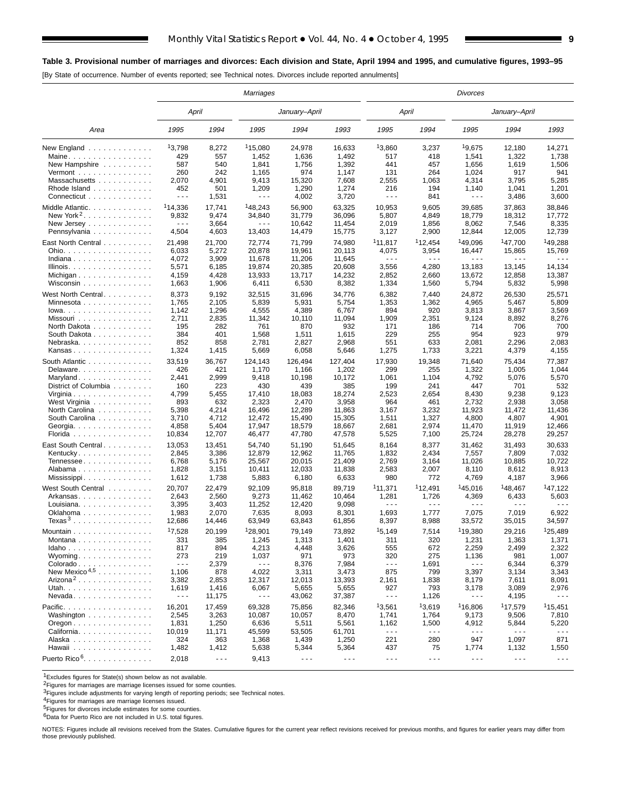## **Table 3. Provisional number of marriages and divorces: Each division and State, April 1994 and 1995, and cumulative figures, 1993–95**

[By State of occurrence. Number of events reported; see Technical notes. Divorces include reported annulments]

|                                                |                      |                      | Marriages            |                      |                      |                                                                                                                                                                                                                                                                                                                                                                                              |                               | <b>Divorces</b>      |                      |                      |
|------------------------------------------------|----------------------|----------------------|----------------------|----------------------|----------------------|----------------------------------------------------------------------------------------------------------------------------------------------------------------------------------------------------------------------------------------------------------------------------------------------------------------------------------------------------------------------------------------------|-------------------------------|----------------------|----------------------|----------------------|
|                                                | April                |                      |                      | January-April        |                      | April                                                                                                                                                                                                                                                                                                                                                                                        |                               |                      | January–April        |                      |
| Area                                           | 1995                 | 1994                 | 1995                 | 1994                 | 1993                 | 1995                                                                                                                                                                                                                                                                                                                                                                                         | 1994                          | 1995                 | 1994                 | 1993                 |
| New England                                    | 13,798               | 8,272                | <sup>1</sup> 15,080  | 24,978               | 16,633               | 13,860                                                                                                                                                                                                                                                                                                                                                                                       | 3,237                         | 19,675               | 12,180               | 14,271               |
| Maine                                          | 429                  | 557                  | 1,452                | 1,636                | 1,492                | 517                                                                                                                                                                                                                                                                                                                                                                                          | 418                           | 1,541                | 1,322                | 1,738                |
| New Hampshire                                  | 587                  | 540                  | 1,841                | 1,756                | 1,392                | 441                                                                                                                                                                                                                                                                                                                                                                                          | 457                           | 1,656                | 1,619                | 1,506                |
| $Vermont$                                      | 260                  | 242                  | 1,165                | 974                  | 1,147                | 131                                                                                                                                                                                                                                                                                                                                                                                          | 264                           | 1,024                | 917                  | 941                  |
| Massachusetts                                  | 2,070                | 4,901                | 9,413                | 15,320               | 7,608                | 2,555                                                                                                                                                                                                                                                                                                                                                                                        | 1,063                         | 4,314                | 3,795                | 5,285                |
| Rhode Island                                   | 452                  | 501                  | 1,209                | 1,290                | 1,274                | 216                                                                                                                                                                                                                                                                                                                                                                                          | 194                           | 1,140                | 1,041                | 1,201                |
| Connecticut                                    | $  -$                | 1,531                | $\sim$ $\sim$ $\sim$ | 4,002                | 3,720                | $- - -$                                                                                                                                                                                                                                                                                                                                                                                      | 841                           | $- - -$              | 3,486                | 3,600                |
| Middle Atlantic.                               | <sup>1</sup> 14,336  | 17,741               | 148,243              | 56,900               | 63,325               | 10,953                                                                                                                                                                                                                                                                                                                                                                                       | 9,605                         | 39,685               | 37,863               | 38,846               |
| New York <sup>2</sup> . $\ldots$               | 9,832                | 9,474                | 34,840               | 31,779               | 36,096               | 5,807                                                                                                                                                                                                                                                                                                                                                                                        | 4,849                         | 18,779               | 18,312               | 17,772               |
| New Jersey                                     | $\sim$ $\sim$ $\sim$ | 3,664                | .                    | 10,642               | 11,454               | 2,019                                                                                                                                                                                                                                                                                                                                                                                        | 1,856                         | 8,062                | 7,546                | 8,335                |
| Pennsylvania                                   | 4,504                | 4,603                | 13,403               | 14,479               | 15,775               | 3,127                                                                                                                                                                                                                                                                                                                                                                                        | 2,900                         | 12,844               | 12,005               | 12,739               |
|                                                |                      |                      |                      |                      |                      |                                                                                                                                                                                                                                                                                                                                                                                              |                               |                      |                      |                      |
| East North Central                             | 21,498               | 21,700               | 72,774               | 71,799               | 74,980               | <sup>1</sup> 11,817                                                                                                                                                                                                                                                                                                                                                                          | <sup>1</sup> 12,454           | <sup>1</sup> 49.096  | 147,700              | <sup>1</sup> 49.288  |
| Ohio.                                          | 6,033                | 5,272                | 20,878               | 19,961               | 20,113               | 4,075                                                                                                                                                                                                                                                                                                                                                                                        | 3,954                         | 16,447               | 15,865               | 15,769               |
| Indiana                                        | 4,072                | 3,909                | 11,678               | 11,206               | 11,645               | .                                                                                                                                                                                                                                                                                                                                                                                            | .                             | .                    | .                    | .                    |
| Illinois.                                      | 5,571                | 6,185                | 19,874               | 20,385               | 20,608               | 3,556                                                                                                                                                                                                                                                                                                                                                                                        | 4,280                         | 13,183               | 13,145               | 14,134               |
| Michigan                                       | 4,159                | 4,428                | 13,933               | 13,717               | 14,232               | 2,852                                                                                                                                                                                                                                                                                                                                                                                        | 2,660                         | 13,672               | 12,858               | 13,387               |
| Wisconsin                                      | 1,663                | 1,906                | 6,411                | 6,530                | 8,382                | 1,334                                                                                                                                                                                                                                                                                                                                                                                        | 1,560                         | 5,794                | 5,832                | 5,998                |
| West North Central                             | 8,373                | 9,192                | 32,515               | 31,696               | 34,776               | 6,382                                                                                                                                                                                                                                                                                                                                                                                        | 7,440                         | 24,872               | 26,530               | 25,571               |
| Minnesota                                      | 1,765                | 2,105                | 5,839                | 5,931                | 5,754                | 1,353                                                                                                                                                                                                                                                                                                                                                                                        | 1,362                         | 4,965                | 5,467                | 5,809                |
|                                                |                      |                      |                      |                      |                      |                                                                                                                                                                                                                                                                                                                                                                                              |                               |                      |                      |                      |
| $Iowa.$                                        | 1,142                | 1,296                | 4,555                | 4,389                | 6,767                | 894                                                                                                                                                                                                                                                                                                                                                                                          | 920                           | 3,813                | 3,867                | 3,569                |
| Missouri                                       | 2,711                | 2,835                | 11,342               | 10,110               | 11,094               | 1,909                                                                                                                                                                                                                                                                                                                                                                                        | 2,351                         | 9,124                | 8,892                | 8,276                |
| North Dakota                                   | 195                  | 282                  | 761                  | 870                  | 932                  | 171                                                                                                                                                                                                                                                                                                                                                                                          | 186                           | 714                  | 706                  | 700                  |
| South Dakota                                   | 384                  | 401                  | 1,568                | 1,511                | 1,615                | 229                                                                                                                                                                                                                                                                                                                                                                                          | 255                           | 954                  | 923                  | 979                  |
| Nebraska                                       | 852                  | 858                  | 2,781                | 2,827                | 2,968                | 551                                                                                                                                                                                                                                                                                                                                                                                          | 633                           | 2,081                | 2,296                | 2,083                |
| Kansas                                         | 1,324                | 1,415                | 5,669                | 6,058                | 5,646                | 1,275                                                                                                                                                                                                                                                                                                                                                                                        | 1,733                         | 3,221                | 4,379                | 4,155                |
| South Atlantic                                 | 33,519               | 36,767               | 124,143              | 126,494              | 127,404              | 17,930                                                                                                                                                                                                                                                                                                                                                                                       | 19,348                        | 71,640               | 75,434               | 77,387               |
| Delaware.                                      | 426                  | 421                  | 1,170                | 1,166                | 1,202                | 299                                                                                                                                                                                                                                                                                                                                                                                          | 255                           | 1,322                | 1,005                | 1,044                |
| Maryland                                       | 2,441                | 2,999                | 9,418                | 10,198               | 10,172               | 1,061                                                                                                                                                                                                                                                                                                                                                                                        | 1,104                         | 4,792                | 5,076                | 5,570                |
| District of Columbia                           | 160                  | 223                  | 430                  | 439                  | 385                  | 199                                                                                                                                                                                                                                                                                                                                                                                          | 241                           | 447                  | 701                  | 532                  |
| Virginia $\ldots \ldots \ldots \ldots \ldots$  | 4,799                | 5,455                | 17,410               | 18,083               | 18,274               | 2,523                                                                                                                                                                                                                                                                                                                                                                                        | 2,654                         | 8,430                | 9,238                | 9,123                |
| West Virginia                                  | 893                  | 632                  | 2,323                | 2,470                | 3,958                | 964                                                                                                                                                                                                                                                                                                                                                                                          | 461                           | 2,732                | 2,938                | 3,058                |
| North Carolina                                 | 5,398                | 4,214                | 16,496               | 12,289               | 11,863               | 3,167                                                                                                                                                                                                                                                                                                                                                                                        | 3,232                         | 11,923               | 11,472               | 11,436               |
| South Carolina                                 | 3,710                | 4,712                | 12,472               | 15,490               | 15,305               | 1,511                                                                                                                                                                                                                                                                                                                                                                                        | 1,327                         | 4,800                | 4,807                | 4,901                |
|                                                |                      |                      |                      |                      |                      |                                                                                                                                                                                                                                                                                                                                                                                              |                               |                      |                      |                      |
| Georgia                                        | 4,858                | 5,404                | 17,947               | 18,579               | 18,667               | 2,681                                                                                                                                                                                                                                                                                                                                                                                        | 2,974                         | 11,470               | 11,919               | 12,466               |
| Florida                                        | 10,834               | 12,707               | 46,477               | 47,780               | 47,578               | 5,525                                                                                                                                                                                                                                                                                                                                                                                        | 7,100                         | 25,724               | 28,278               | 29,257               |
| East South Central                             | 13,053               | 13,451               | 54,740               | 51,190               | 51,645               | 8,164                                                                                                                                                                                                                                                                                                                                                                                        | 8,377                         | 31,462               | 31,493               | 30,633               |
| Kentucky                                       | 2,845                | 3,386                | 12,879               | 12,962               | 11,765               | 1,832                                                                                                                                                                                                                                                                                                                                                                                        | 2,434                         | 7,557                | 7,809                | 7,032                |
| Tennessee                                      | 6,768                | 5,176                | 25,567               | 20,015               | 21,409               | 2,769                                                                                                                                                                                                                                                                                                                                                                                        | 3,164                         | 11,026               | 10,885               | 10,722               |
| Alabama                                        | 1,828                | 3,151                | 10,411               | 12,033               | 11,838               | 2,583                                                                                                                                                                                                                                                                                                                                                                                        | 2,007                         | 8,110                | 8,612                | 8,913                |
| Mississippi                                    | 1,612                | 1,738                | 5,883                | 6,180                | 6,633                | 980                                                                                                                                                                                                                                                                                                                                                                                          | 772                           | 4,769                | 4,187                | 3,966                |
| West South Central                             | 20,707               | 22,479               | 92,109               | 95,818               | 89,719               | <sup>1</sup> 11,371                                                                                                                                                                                                                                                                                                                                                                          | 112,491                       | 145,016              | 148,467              | 147,122              |
|                                                |                      |                      |                      |                      |                      |                                                                                                                                                                                                                                                                                                                                                                                              |                               |                      |                      |                      |
| Arkansas                                       | 2,643<br>3,395       | 2,560<br>3,403       | 9,273<br>11,252      | 11,462               | 10,464<br>9,098      | 1,281<br>.                                                                                                                                                                                                                                                                                                                                                                                   | 1,726<br>$\sim$ $\sim$ $\sim$ | 4,369<br>.           | 6,433<br>.           | 5,603<br>.           |
| Louisiana.                                     |                      |                      |                      | 12,420               |                      |                                                                                                                                                                                                                                                                                                                                                                                              |                               |                      |                      |                      |
| Oklahoma                                       | 1,983                | 2,070                | 7,635                | 8,093                | 8,301                | 1,693                                                                                                                                                                                                                                                                                                                                                                                        | 1,777                         | 7,075                | 7,019                | 6,922                |
| Texas <sup>3</sup>                             | 12,686               | 14,446               | 63,949               | 63,843               | 61,856               | 8,397                                                                                                                                                                                                                                                                                                                                                                                        | 8,988                         | 33,572               | 35,015               | 34,597               |
| Mountain                                       | 17,528               | 20,199               | 128,901              | 79,149               | 73,892               | 15,149                                                                                                                                                                                                                                                                                                                                                                                       | 7,514                         | 119,380              | 29,216               | 125,489              |
| Montana                                        | 331                  | 385                  | 1,245                | 1,313                | 1,401                | 311                                                                                                                                                                                                                                                                                                                                                                                          | 320                           | 1,231                | 1,363                | 1,371                |
| Idaho                                          | 817                  | 894                  | 4,213                | 4,448                | 3,626                | 555                                                                                                                                                                                                                                                                                                                                                                                          | 672                           | 2,259                | 2,499                | 2,322                |
| $Wyoming.$                                     | 273                  | 219                  | 1,037                | 971                  | 973                  | 320                                                                                                                                                                                                                                                                                                                                                                                          | 275                           | 1,136                | 981                  | 1,007                |
| Colorado                                       | $\sim$ $\sim$ $\sim$ | 2,379                | $\sim$ $\sim$ $\sim$ | 8,376                | 7,984                | $\sim$ $\sim$ $\sim$                                                                                                                                                                                                                                                                                                                                                                         | 1,691                         | $\sim$ $\sim$ $\sim$ | 6,344                | 6,379                |
| New Mexico <sup><math>4,5</math></sup>         | 1,106                | 878                  | 4,022                | 3,311                | 3,473                | 875                                                                                                                                                                                                                                                                                                                                                                                          | 799                           | 3,397                | 3,134                | 3,343                |
| $Arizona2$                                     | 3,382                | 2,853                | 12,317               | 12,013               | 13,393               | 2,161                                                                                                                                                                                                                                                                                                                                                                                        | 1,838                         | 8,179                | 7,611                | 8,091                |
| Utah.                                          | 1,619                | 1,416                | 6,067                | 5,655                | 5,655                | 927                                                                                                                                                                                                                                                                                                                                                                                          | 793                           | 3,178                | 3,089                | 2,976                |
| $N$ evada                                      | $\sim$ $\sim$ $\sim$ | 11,175               | $- - -$              | 43,062               | 37,387               | $\frac{1}{2} \frac{1}{2} \frac{1}{2} \frac{1}{2} \frac{1}{2} \frac{1}{2} \frac{1}{2} \frac{1}{2} \frac{1}{2} \frac{1}{2} \frac{1}{2} \frac{1}{2} \frac{1}{2} \frac{1}{2} \frac{1}{2} \frac{1}{2} \frac{1}{2} \frac{1}{2} \frac{1}{2} \frac{1}{2} \frac{1}{2} \frac{1}{2} \frac{1}{2} \frac{1}{2} \frac{1}{2} \frac{1}{2} \frac{1}{2} \frac{1}{2} \frac{1}{2} \frac{1}{2} \frac{1}{2} \frac{$ | 1,126                         | $- - -$              | 4,195                |                      |
|                                                |                      |                      |                      |                      |                      |                                                                                                                                                                                                                                                                                                                                                                                              |                               |                      |                      |                      |
| Pacific.                                       | 16,201               | 17,459               | 69,328               | 75,856               | 82,346               | 13,561                                                                                                                                                                                                                                                                                                                                                                                       | 13,619                        | <sup>1</sup> 16,806  | 117,579              | 115.451              |
| Washington                                     | 2,545                | 3,263                | 10,087               | 10,057               | 8,470                | 1,741                                                                                                                                                                                                                                                                                                                                                                                        | 1,764                         | 9,173                | 9,506                | 7,810                |
| $O$ regon $\ldots \ldots \ldots \ldots \ldots$ | 1,831                | 1,250                | 6,636                | 5,511                | 5,561                | 1,162                                                                                                                                                                                                                                                                                                                                                                                        | 1,500                         | 4,912                | 5,844                | 5,220                |
| California                                     | 10,019               | 11,171               | 45,599               | 53,505               | 61,701               | $\sim$ $\sim$ $\sim$                                                                                                                                                                                                                                                                                                                                                                         | $\sim$ $\sim$ $\sim$          | $\sim$ $\sim$ $\sim$ | $\sim$ $\sim$ $\sim$ | $\sim$ $\sim$ $\sim$ |
| Alaska                                         | 324                  | 363                  | 1,368                | 1,439                | 1,250                | 221                                                                                                                                                                                                                                                                                                                                                                                          | 280                           | 947                  | 1,097                | 871                  |
| Hawaii                                         | 1,482                | 1,412                | 5,638                | 5,344                | 5,364                | 437                                                                                                                                                                                                                                                                                                                                                                                          | 75                            | 1,774                | 1,132                | 1,550                |
| Puerto Rico <sup>6</sup> .                     | 2,018                | $\sim$ $\sim$ $\sim$ | 9,413                | $\sim$ $\sim$ $\sim$ | $\sim$ $\sim$ $\sim$ | $\omega \sim \omega$                                                                                                                                                                                                                                                                                                                                                                         | $\sim$ $\sim$ $\sim$          | $\sim$ $\sim$ $\sim$ | $\sim$ $\sim$ $\sim$ | $\sim$ $\sim$ $\sim$ |
|                                                |                      |                      |                      |                      |                      |                                                                                                                                                                                                                                                                                                                                                                                              |                               |                      |                      |                      |

1Excludes figures for State(s) shown below as not available.

<sup>2</sup>Figures for marriages are marriage licenses issued for some counties.

3Figures include adjustments for varying length of reporting periods; see Technical notes.

<sup>4</sup>Figures for marriages are marriage licenses issued.<br><sup>5</sup>Figures for divorces include estimates for some counties.

6Data for Puerto Rico are not included in U.S. total figures.

NOTES: Figures include all revisions received from the States. Cumulative figures for the current year reflect revisions received for previous months, and figures for earlier years may differ from those previously published.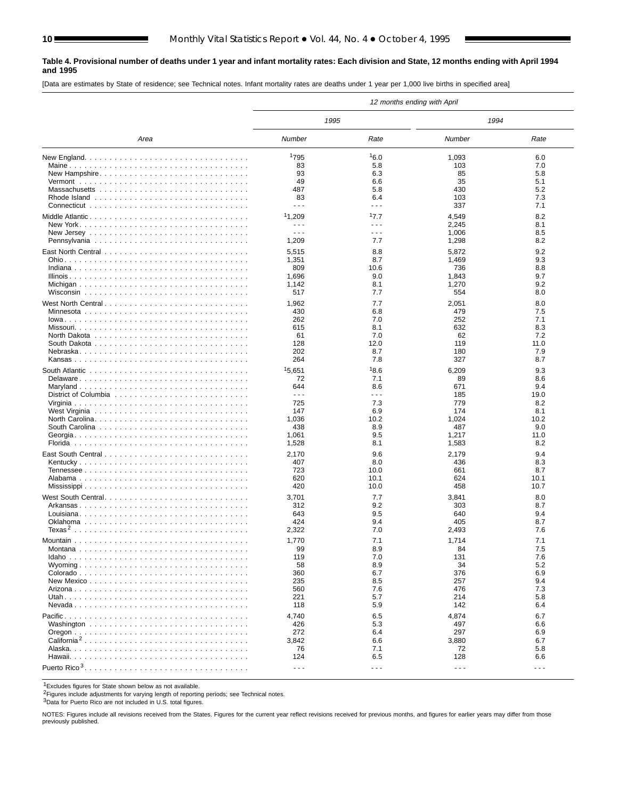#### **Table 4. Provisional number of deaths under 1 year and infant mortality rates: Each division and State, 12 months ending with April 1994 and 1995**

[Data are estimates by State of residence; see Technical notes. Infant mortality rates are deaths under 1 year per 1,000 live births in specified area]

|                                                                                             |                      |                      | 12 months ending with April |                                                                                                                                                                                                                                                                                                                                                                                              |
|---------------------------------------------------------------------------------------------|----------------------|----------------------|-----------------------------|----------------------------------------------------------------------------------------------------------------------------------------------------------------------------------------------------------------------------------------------------------------------------------------------------------------------------------------------------------------------------------------------|
|                                                                                             | 1995                 |                      | 1994                        |                                                                                                                                                                                                                                                                                                                                                                                              |
| Area                                                                                        | Number               | Rate                 | Number                      | Rate                                                                                                                                                                                                                                                                                                                                                                                         |
| New England. $\ldots \ldots \ldots \ldots \ldots \ldots \ldots \ldots \ldots \ldots \ldots$ | 1795                 | 16.0                 | 1,093                       | 6.0                                                                                                                                                                                                                                                                                                                                                                                          |
|                                                                                             | 83                   | 5.8                  | 103                         | 7.0                                                                                                                                                                                                                                                                                                                                                                                          |
| New Hampshire                                                                               | 93                   | 6.3                  | 85                          | 5.8                                                                                                                                                                                                                                                                                                                                                                                          |
|                                                                                             | 49                   | 6.6                  | 35                          | 5.1                                                                                                                                                                                                                                                                                                                                                                                          |
|                                                                                             | 487                  | 5.8                  | 430                         | 5.2                                                                                                                                                                                                                                                                                                                                                                                          |
|                                                                                             | 83                   | 6.4                  | 103                         | 7.3                                                                                                                                                                                                                                                                                                                                                                                          |
|                                                                                             | $- - -$              | $\sim$ $\sim$ $\sim$ | 337                         | 7.1                                                                                                                                                                                                                                                                                                                                                                                          |
|                                                                                             |                      |                      |                             |                                                                                                                                                                                                                                                                                                                                                                                              |
| Middle Atlantic                                                                             | <sup>1</sup> 1,209   | 17.7                 | 4,549                       | 8.2                                                                                                                                                                                                                                                                                                                                                                                          |
|                                                                                             | $- - -$              | $\sim$ $\sim$ $\sim$ | 2,245                       | 8.1                                                                                                                                                                                                                                                                                                                                                                                          |
|                                                                                             | $ -$                 | $\sim$ $\sim$ $\sim$ | 1,006                       | 8.5                                                                                                                                                                                                                                                                                                                                                                                          |
|                                                                                             | 1,209                | 7.7                  | 1,298                       | 8.2                                                                                                                                                                                                                                                                                                                                                                                          |
|                                                                                             | 5,515                | 8.8                  | 5,872                       | 9.2                                                                                                                                                                                                                                                                                                                                                                                          |
|                                                                                             | 1,351                | 8.7                  | 1,469                       | 9.3                                                                                                                                                                                                                                                                                                                                                                                          |
|                                                                                             | 809                  | 10.6                 | 736                         | 8.8                                                                                                                                                                                                                                                                                                                                                                                          |
|                                                                                             | 1,696                | 9.0                  | 1,843                       | 9.7                                                                                                                                                                                                                                                                                                                                                                                          |
|                                                                                             | 1,142                | 8.1                  | 1,270                       | 9.2                                                                                                                                                                                                                                                                                                                                                                                          |
|                                                                                             | 517                  | 7.7                  | 554                         | 8.0                                                                                                                                                                                                                                                                                                                                                                                          |
|                                                                                             |                      |                      |                             |                                                                                                                                                                                                                                                                                                                                                                                              |
| West North Central experience in the contract of the UNESCOTE                               | 1,962                | 7.7                  | 2,051                       | 8.0                                                                                                                                                                                                                                                                                                                                                                                          |
|                                                                                             | 430                  | 6.8                  | 479                         | 7.5                                                                                                                                                                                                                                                                                                                                                                                          |
|                                                                                             | 262                  | 7.0                  | 252                         | 7.1                                                                                                                                                                                                                                                                                                                                                                                          |
|                                                                                             | 615                  | 8.1                  | 632                         | 8.3                                                                                                                                                                                                                                                                                                                                                                                          |
|                                                                                             | 61                   | 7.0                  | 62                          | 7.2                                                                                                                                                                                                                                                                                                                                                                                          |
|                                                                                             | 128                  | 12.0                 | 119                         | 11.0                                                                                                                                                                                                                                                                                                                                                                                         |
| Nebraska                                                                                    | 202                  | 8.7                  | 180                         | 7.9                                                                                                                                                                                                                                                                                                                                                                                          |
|                                                                                             | 264                  | 7.8                  | 327                         | 8.7                                                                                                                                                                                                                                                                                                                                                                                          |
|                                                                                             | 15,651               | 18.6                 | 6,209                       | 9.3                                                                                                                                                                                                                                                                                                                                                                                          |
| Delaware                                                                                    | 72                   | 7.1                  | 89                          | 8.6                                                                                                                                                                                                                                                                                                                                                                                          |
|                                                                                             | 644                  | 8.6                  | 671                         | 9.4                                                                                                                                                                                                                                                                                                                                                                                          |
|                                                                                             | $\sim$ $\sim$ $\sim$ | $\sim$ $\sim$ $\sim$ | 185                         | 19.0                                                                                                                                                                                                                                                                                                                                                                                         |
|                                                                                             | 725                  | 7.3                  | 779                         | 8.2                                                                                                                                                                                                                                                                                                                                                                                          |
|                                                                                             | 147                  | 6.9                  | 174                         | 8.1                                                                                                                                                                                                                                                                                                                                                                                          |
|                                                                                             | 1,036                | 10.2                 | 1,024                       | 10.2                                                                                                                                                                                                                                                                                                                                                                                         |
|                                                                                             | 438                  | 8.9                  | 487                         | 9.0                                                                                                                                                                                                                                                                                                                                                                                          |
|                                                                                             | 1,061                | 9.5                  | 1,217                       | 11.0                                                                                                                                                                                                                                                                                                                                                                                         |
|                                                                                             | 1,528                | 8.1                  | 1,583                       | 8.2                                                                                                                                                                                                                                                                                                                                                                                          |
|                                                                                             |                      |                      |                             |                                                                                                                                                                                                                                                                                                                                                                                              |
|                                                                                             | 2,170                | 9.6                  | 2,179                       | 9.4                                                                                                                                                                                                                                                                                                                                                                                          |
|                                                                                             | 407                  | 8.0                  | 436                         | 8.3                                                                                                                                                                                                                                                                                                                                                                                          |
|                                                                                             | 723                  | 10.0                 | 661                         | 8.7                                                                                                                                                                                                                                                                                                                                                                                          |
|                                                                                             | 620                  | 10.1                 | 624                         | 10.1                                                                                                                                                                                                                                                                                                                                                                                         |
|                                                                                             | 420                  | 10.0                 | 458                         | 10.7                                                                                                                                                                                                                                                                                                                                                                                         |
| West South Central                                                                          | 3,701                | 7.7                  | 3,841                       | 8.0                                                                                                                                                                                                                                                                                                                                                                                          |
|                                                                                             | 312                  | 9.2                  | 303                         | 8.7                                                                                                                                                                                                                                                                                                                                                                                          |
|                                                                                             | 643                  | 9.5                  | 640                         | 9.4                                                                                                                                                                                                                                                                                                                                                                                          |
|                                                                                             | 424                  | 9.4                  | 405                         | 8.7                                                                                                                                                                                                                                                                                                                                                                                          |
|                                                                                             | 2,322                | 7.0                  | 2,493                       | 7.6                                                                                                                                                                                                                                                                                                                                                                                          |
|                                                                                             |                      |                      |                             |                                                                                                                                                                                                                                                                                                                                                                                              |
|                                                                                             | 1,770                | 7.1                  | 1,714                       | 7.1                                                                                                                                                                                                                                                                                                                                                                                          |
|                                                                                             | 99                   | 8.9                  | 84                          | 7.5                                                                                                                                                                                                                                                                                                                                                                                          |
|                                                                                             | 119                  | 7.0                  | 131                         | 7.6                                                                                                                                                                                                                                                                                                                                                                                          |
|                                                                                             | 58                   | 8.9                  | 34                          | 5.2                                                                                                                                                                                                                                                                                                                                                                                          |
|                                                                                             | 360                  | 6.7                  | 376                         | 6.9                                                                                                                                                                                                                                                                                                                                                                                          |
|                                                                                             | 235                  | 8.5                  | 257                         | 9.4                                                                                                                                                                                                                                                                                                                                                                                          |
|                                                                                             | 560                  | 7.6                  | 476                         | 7.3                                                                                                                                                                                                                                                                                                                                                                                          |
|                                                                                             | 221                  | 5.7                  | 214                         | 5.8                                                                                                                                                                                                                                                                                                                                                                                          |
|                                                                                             | 118                  | 5.9                  | 142                         | 6.4                                                                                                                                                                                                                                                                                                                                                                                          |
|                                                                                             | 4,740                | 6.5                  | 4,874                       | 6.7                                                                                                                                                                                                                                                                                                                                                                                          |
|                                                                                             | 426                  | 5.3                  | 497                         | 6.6                                                                                                                                                                                                                                                                                                                                                                                          |
|                                                                                             | 272                  | 6.4                  | 297                         | 6.9                                                                                                                                                                                                                                                                                                                                                                                          |
| California <sup>2</sup>                                                                     | 3,842                | 6.6                  | 3,880                       | 6.7                                                                                                                                                                                                                                                                                                                                                                                          |
|                                                                                             | 76                   | 7.1                  | 72                          | 5.8                                                                                                                                                                                                                                                                                                                                                                                          |
|                                                                                             | 124                  | 6.5                  | 128                         | 6.6                                                                                                                                                                                                                                                                                                                                                                                          |
|                                                                                             |                      |                      |                             |                                                                                                                                                                                                                                                                                                                                                                                              |
|                                                                                             | $\sim$ $\sim$ $\sim$ | $\sim$ $\sim$ $\sim$ | $\sim$ $\sim$ $\sim$        | $\frac{1}{2} \frac{1}{2} \frac{1}{2} \frac{1}{2} \frac{1}{2} \frac{1}{2} \frac{1}{2} \frac{1}{2} \frac{1}{2} \frac{1}{2} \frac{1}{2} \frac{1}{2} \frac{1}{2} \frac{1}{2} \frac{1}{2} \frac{1}{2} \frac{1}{2} \frac{1}{2} \frac{1}{2} \frac{1}{2} \frac{1}{2} \frac{1}{2} \frac{1}{2} \frac{1}{2} \frac{1}{2} \frac{1}{2} \frac{1}{2} \frac{1}{2} \frac{1}{2} \frac{1}{2} \frac{1}{2} \frac{$ |

1Excludes figures for State shown below as not available.

2Figures include adjustments for varying length of reporting periods; see Technical notes.

3Data for Puerto Rico are not included in U.S. total figures.

NOTES: Figures include all revisions received from the States. Figures for the current year reflect revisions received for previous months, and figures for earlier years may differ from those previously published.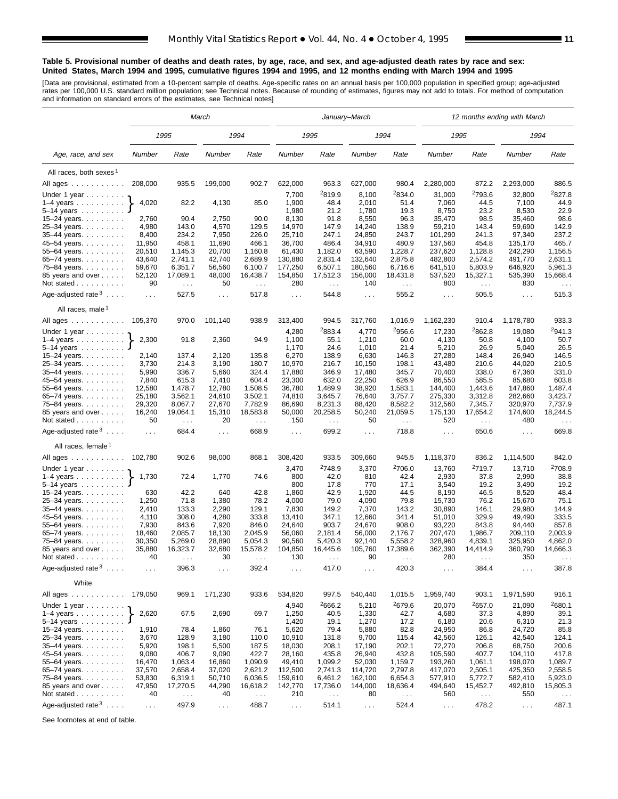#### **Table 5. Provisional number of deaths and death rates, by age, race, and sex, and age-adjusted death rates by race and sex: United States, March 1994 and 1995, cumulative figures 1994 and 1995, and 12 months ending with March 1994 and 1995**

[Data are provisional, estimated from a 10-percent sample of deaths. Age-specific rates on an annual basis per 100,000 population in specified group; age-adjusted<br>rates per 100,000 U.S. standard million population; see Tec

|                                                       |                  |                                  | March                       |                           |                  |                     | January–March    |                        |                    |                           | 12 months ending with March |                                  |
|-------------------------------------------------------|------------------|----------------------------------|-----------------------------|---------------------------|------------------|---------------------|------------------|------------------------|--------------------|---------------------------|-----------------------------|----------------------------------|
|                                                       |                  | 1995                             |                             | 1994                      |                  | 1995                |                  | 1994                   | 1995               |                           | 1994                        |                                  |
| Age, race, and sex                                    | Number           | Rate                             | Number                      | Rate                      | Number           | Rate                | Number           | Rate                   | Number             | Rate                      | Number                      | Rate                             |
| All races, both sexes <sup>1</sup>                    |                  |                                  |                             |                           |                  |                     |                  |                        |                    |                           |                             |                                  |
| All ages                                              | 208,000          | 935.5                            | 199,000                     | 902.7                     | 622,000          | 963.3               | 627,000          | 980.4                  | 2,280,000          | 872.2                     | 2,293,000                   | 886.5                            |
| Under 1 year                                          |                  |                                  |                             |                           | 7,700            | <sup>2</sup> 819.9  | 8,100            | <sup>2</sup> 834.0     | 31,000             | 2793.6                    | 32,800                      | 2827.8                           |
| $1-4$ years $\ldots$ $\ldots$ $\ldots$ .              | 4,020            | 82.2                             | 4,130                       | 85.0                      | 1,900            | 48.4                | 2,010            | 51.4                   | 7,060              | 44.5                      | 7,100                       | 44.9                             |
| $5 - 14$ years                                        |                  |                                  |                             |                           | 1,980            | 21.2                | 1,780            | 19.3                   | 8,750              | 23.2                      | 8,530                       | 22.9                             |
| $15 - 24$ years.                                      | 2,760            | 90.4                             | 2,750                       | 90.0                      | 8,130            | 91.8                | 8,550            | 96.3                   | 35,470             | 98.5                      | 35,460                      | 98.6                             |
| 25-34 years.                                          | 4,980            | 143.0                            | 4,570                       | 129.5                     | 14,970           | 147.9               | 14,240           | 138.9                  | 59,210             | 143.4                     | 59,690                      | 142.9                            |
| 35-44 years.                                          | 8,400<br>11,950  | 234.2<br>458.1                   | 7,950<br>11,690             | 226.0<br>466.1            | 25,710<br>36,700 | 247.1<br>486.4      | 24,850<br>34,910 | 243.7<br>480.9         | 101,290<br>137,560 | 241.3<br>454.8            | 97,340<br>135,170           | 237.2<br>465.7                   |
| 45-54 years.<br>55-64 years.                          | 20,510           | 1,145.3                          | 20,700                      | 1,160.8                   | 61,430           | 1,182.0             | 63,590           | 1,228.7                | 237,620            | 1,128.8                   | 242,290                     | 1,156.5                          |
| 65-74 years.                                          | 43,640           | 2,741.1                          | 42,740                      | 2,689.9                   | 130,880          | 2,831.4             | 132,640          | 2,875.8                | 482,800            | 2,574.2                   | 491,770                     | 2,631.1                          |
| 75–84 years.                                          | 59,670           | 6,351.7                          | 56,560                      | 6,100.7                   | 177,250          | 6,507.1             | 180,560          | 6,716.6                | 641,510            | 5,803.9                   | 646,920                     | 5,961.3                          |
| 85 years and over                                     | 52,120           | 17,089.1                         | 48,000                      | 16,438.7                  | 154,850          | 17,512.3            | 156,000          | 18,431.8               | 537,520            | 15,327.1                  | 535,390                     | 15,668.4                         |
| Not stated                                            | 90               | $\sim 100$                       | 50                          | $\sim 100$                | 280              | $\sim$ $\sim$       | 140              | $\sim 100$             | 800                | $\sim 100$                | 830                         | $\sim$ $\sim$                    |
| Age-adjusted rate $3 \ldots$ .                        | $\sim 100$       | 527.5                            | $\sim 100$                  | 517.8                     | $\sim 100$       | 544.8               | $\sim 100$       | 555.2                  | $\sim 100$         | 505.5                     | $\sim 100$                  | 515.3                            |
| All races, male <sup>1</sup>                          |                  |                                  |                             |                           |                  |                     |                  |                        |                    |                           |                             |                                  |
| All ages                                              | 105,370          | 970.0                            | 101,140                     | 938.9                     | 313,400          | 994.5               | 317,760          | 1,016.9                | 1,162,230          | 910.4                     | 1,178,780                   | 933.3                            |
| Under 1 year $\ldots \ldots$                          |                  |                                  |                             |                           | 4,280            | 2883.4              | 4,770            | 2956.6                 | 17,230             | 2862.8                    | 19,080                      | 2941.3                           |
| $1-4$ years<br>5-14 years                             | 2,300            | 91.8                             | 2,360                       | 94.9                      | 1,100<br>1,170   | 55.1<br>24.6        | 1,210<br>1,010   | 60.0<br>21.4           | 4,130<br>5,210     | 50.8<br>26.9              | 4,100<br>5,040              | 50.7<br>26.5                     |
| 15–24 years. $\ldots$                                 | 2,140            | 137.4                            | 2,120                       | 135.8                     | 6,270            | 138.9               | 6,630            | 146.3                  | 27,280             | 148.4                     | 26,940                      | 146.5                            |
| 25-34 years.                                          | 3,730            | 214.3                            | 3,190                       | 180.7                     | 10,970           | 216.7               | 10,150           | 198.1                  | 43,480             | 210.6                     | 44,020                      | 210.5                            |
| $35 - 44$ years.                                      | 5,990            | 336.7                            | 5,660                       | 324.4                     | 17,880           | 346.9               | 17,480           | 345.7                  | 70,400             | 338.0                     | 67,360                      | 331.0                            |
| 45-54 years.                                          | 7,840            | 615.3                            | 7,410                       | 604.4                     | 23,300           | 632.0               | 22,250           | 626.9                  | 86,550             | 585.5                     | 85,680                      | 603.8                            |
| 55-64 years.                                          | 12,580           | 1,478.7                          | 12,780                      | 1,508.5                   | 36,780           | 1,489.9             | 38,920           | 1,583.1                | 144,400            | 1,443.6                   | 147,860                     | 1,487.4                          |
| 65-74 years.                                          | 25,180           | 3,562.1                          | 24,610                      | 3,502.1                   | 74,810           | 3,645.7             | 76,640           | 3,757.7                | 275,330            | 3,312.8                   | 282,660                     | 3,423.7                          |
| 75–84 years.<br>85 years and over                     | 29,320<br>16,240 | 8,067.7<br>19,064.1              | 27,670<br>15,310            | 7,782.9<br>18,583.8       | 86,690<br>50,000 | 8,231.3<br>20,258.5 | 88,420<br>50,240 | 8,582.2<br>21,059.5    | 312,560<br>175,130 | 7,345.7<br>17,654.2       | 320,970<br>174,600          | 7,737.9<br>18,244.5              |
| Not stated                                            | 50               | $\mathcal{L}^{\mathcal{L}}$      | 20                          | $\sim$                    | 150              | $\sim$              | 50               | $\cdots$               | 520                | $\sim$                    | 480                         | $\sim$ .                         |
| Age-adjusted rate $3 \ldots$ .                        | $\ldots$         | 684.4                            | $\sim 100$                  | 668.9                     | $\cdots$         | 699.2               | $\sim 100$       | 718.8                  | $\cdots$           | 650.6                     | $\sim 100$                  | 669.8                            |
| All races, female <sup>1</sup>                        |                  |                                  |                             |                           |                  |                     |                  |                        |                    |                           |                             |                                  |
| All ages                                              | 102,780          | 902.6                            | 98,000                      | 868.1                     | 308,420          | 933.5               | 309,660          | 945.5                  | 1,118,370          | 836.2                     | 1,114,500                   | 842.0                            |
| Under 1 year                                          |                  |                                  |                             |                           | 3,470            | <sup>2</sup> 748.9  | 3,370            | <sup>2</sup> 706.0     | 13,760             | <sup>2</sup> 719.7        | 13,710                      | 2708.9                           |
| $1-4$ years                                           | 1,730            | 72.4                             | 1,770                       | 74.6                      | 800              | 42.0                | 810              | 42.4                   | 2,930              | 37.8                      | 2,990                       | 38.8                             |
| $5-14$ years                                          |                  |                                  |                             |                           | 800              | 17.8                | 770              | 17.1                   | 3,540              | 19.2                      | 3,490                       | 19.2                             |
| $15 - 24$ years.                                      | 630<br>1,250     | 42.2                             | 640                         | 42.8                      | 1,860            | 42.9                | 1,920            | 44.5<br>79.8           | 8,190              | 46.5                      | 8,520                       | 48.4<br>75.1                     |
| 25-34 years.<br>35-44 years.                          | 2,410            | 71.8<br>133.3                    | 1,380<br>2,290              | 78.2<br>129.1             | 4,000<br>7,830   | 79.0<br>149.2       | 4,090<br>7,370   | 143.2                  | 15,730<br>30,890   | 76.2<br>146.1             | 15,670<br>29,980            | 144.9                            |
| 45-54 years.                                          | 4,110            | 308.0                            | 4,280                       | 333.8                     | 13,410           | 347.1               | 12,660           | 341.4                  | 51,010             | 329.9                     | 49,490                      | 333.5                            |
| 55–64 years.                                          | 7,930            | 843.6                            | 7,920                       | 846.0                     | 24,640           | 903.7               | 24,670           | 908.0                  | 93,220             | 843.8                     | 94,440                      | 857.8                            |
| 65-74 years.                                          | 18,460           | 2,085.7                          | 18,130                      | 2,045.9                   | 56,060           | 2,181.4             | 56,000           | 2,176.7                | 207,470            | 1,986.7                   | 209,110                     | 2,003.9                          |
| 75–84 years.                                          | 30,350           | 5,269.0                          | 28,890                      | 5,054.3                   | 90,560           | 5,420.3             | 92,140           | 5,558.2                | 328,960            | 4,839.1                   | 325,950                     | 4,862.0                          |
| 85 years and over                                     | 35,880<br>40     | 16,323.7                         | 32,680<br>30                | 15,578.2                  | 104,850<br>130   | 16,445.6            | 105,760<br>90    | 17,389.6               | 362,390<br>280     | 14,414.9                  | 360,790<br>350              | 14,666.3                         |
| Not stated $\ldots$<br>Age-adjusted rate <sup>3</sup> | $\ldots$         | $\cdots$<br>396.3                | $\mathcal{L}^{\mathcal{L}}$ | .<br>392.4                | $\sim$ .         | $\cdots$<br>417.0   | $\cdots$         | $\cdots$<br>420.3      | $\sim$ $\sim$      | $\cdots$<br>384.4         | $\sim$ $\sim$ $\sim$        | 387.8                            |
| White                                                 |                  |                                  |                             |                           |                  |                     |                  |                        |                    |                           |                             |                                  |
| All ages                                              | 179,050          | 969.1                            | 171,230                     | 933.6                     | 534,820          | 997.5               | 540,440          | 1,015.5                | 1,959,740          | 903.1                     | 1,971,590                   | 916.1                            |
| Under 1 year $\ldots \ldots$                          |                  |                                  |                             |                           | 4,940            | 2666.2              | 5,210            | 2679.6                 | 20,070             | 2657.0                    | 21,090                      | <sup>2</sup> 680.1               |
| 1–4 years $\dots \dots$                               | 2,620            | 67.5                             | 2,690                       | 69.7                      | 1,250            | 40.5                | 1,330            | 42.7                   | 4,680              | 37.3                      | 4,890                       | 39.1                             |
| 5–14 years $\ldots$<br>15–24 years. $\ldots$          | 1,910            | 78.4                             | 1,860                       | 76.1                      | 1,420<br>5,620   | 19.1<br>79.4        | 1,270<br>5,880   | 17.2<br>82.8           | 6,180<br>24,950    | 20.6<br>86.8              | 6,310<br>24,720             | 21.3<br>85.8                     |
| 25-34 years.                                          | 3,670            | 128.9                            | 3,180                       | 110.0                     | 10,910           | 131.8               | 9,700            | 115.4                  | 42,560             | 126.1                     | 42,540                      | 124.1                            |
| 35-44 years.                                          | 5,920            | 198.1                            | 5,500                       | 187.5                     | 18,030           | 208.1               | 17,190           | 202.1                  | 72,270             | 206.8                     | 68,750                      | 200.6                            |
| 45-54 years.                                          | 9,080            | 406.7                            | 9,090                       | 422.7                     | 28,160           | 435.8               | 26,940           | 432.8                  | 105,590            | 407.7                     | 104,110                     | 417.8                            |
| 55–64 years.                                          | 16,470           | 1,063.4                          | 16,860                      | 1,090.9                   | 49,410           | 1,099.2             | 52,030           | 1,159.7                | 193,260            | 1,061.1                   | 198,070                     | 1,089.7                          |
| 65-74 years.                                          | 37,570           | 2,658.4                          | 37,020                      | 2,621.2                   | 112,500          | 2,741.3             | 114,720          | 2,797.8                | 417,070            | 2,505.1                   | 425,350                     | 2,558.5                          |
| 75-84 years.                                          | 53,830           | 6,319.1                          | 50,710                      | 6,036.5                   | 159,610          | 6,461.2             | 162,100          | 6,654.3                | 577,910            | 5,772.7                   | 582,410                     | 5,923.0                          |
| 85 years and over<br>Not stated                       | 47,950<br>40     | 17,270.5<br>$\sim$ $\sim$ $\sim$ | 44,290<br>40                | 16,618.2<br>$\sim$ $\sim$ | 142,770<br>210   | 17,736.0<br>$\sim$  | 144,000<br>80    | 18,636.4<br>$\sim 100$ | 494,640<br>560     | 15,452.7<br>$\sim$ $\sim$ | 492,810<br>550              | 15,805.3<br>$\sim$ $\sim$ $\sim$ |
| Age-adjusted rate $3 \ldots$ .                        |                  | 497.9                            |                             | 488.7                     |                  |                     |                  |                        |                    | 478.2                     |                             |                                  |
|                                                       | $\sim$ $\sim$    |                                  | $\sim$ $\sim$               |                           | $\sim 100$       | 514.1               | $\sim 100$       | 524.4                  | $\sim 100$         |                           | $\sim 100$                  | 487.1                            |

See footnotes at end of table.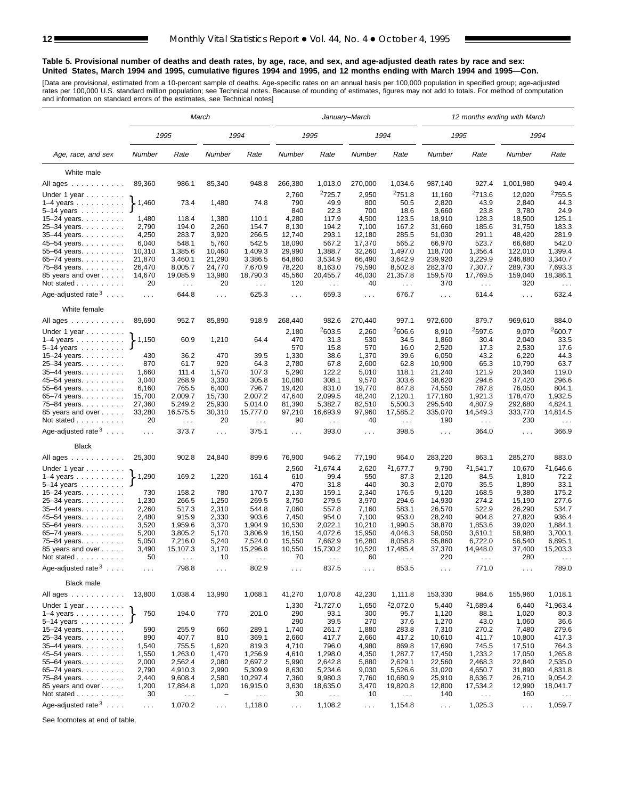#### **Table 5. Provisional number of deaths and death rates, by age, race, and sex, and age-adjusted death rates by race and sex: United States, March 1994 and 1995, cumulative figures 1994 and 1995, and 12 months ending with March 1994 and 1995—Con.**

[Data are provisional, estimated from a 10-percent sample of deaths. Age-specific rates on an annual basis per 100,000 population in specified group; age-adjusted<br>rates per 100,000 U.S. standard million population; see Tec

|                                              |                             |                     | March                    |                        |                 |                               | January–March               |                               |                      |                               | 12 months ending with March |                        |
|----------------------------------------------|-----------------------------|---------------------|--------------------------|------------------------|-----------------|-------------------------------|-----------------------------|-------------------------------|----------------------|-------------------------------|-----------------------------|------------------------|
|                                              |                             | 1995                |                          | 1994                   |                 | 1995                          |                             | 1994                          |                      | 1995                          | 1994                        |                        |
| Age, race, and sex                           | Number                      | Rate                | Number                   | Rate                   | Number          | Rate                          | Number                      | Rate                          | Number               | Rate                          | Number                      | Rate                   |
| White male                                   |                             |                     |                          |                        |                 |                               |                             |                               |                      |                               |                             |                        |
| All ages                                     | 89,360                      | 986.1               | 85,340                   | 948.8                  | 266,380         | 1,013.0                       | 270,000                     | 1,034.6                       | 987,140              | 927.4                         | 1,001,980                   | 949.4                  |
|                                              |                             |                     |                          |                        | 2,760           | 2725.7                        | 2,950                       | 2751.8                        | 11,160               | 2713.6                        | 12,020                      | <sup>2</sup> 755.5     |
| Under 1 year<br>$1-4$ years                  | 1,460                       | 73.4                | 1,480                    | 74.8                   | 790             | 49.9                          | 800                         | 50.5                          | 2,820                | 43.9                          | 2,840                       | 44.3                   |
| 5–14 years $\ldots$                          |                             |                     |                          |                        | 840             | 22.3                          | 700                         | 18.6                          | 3,660                | 23.8                          | 3,780                       | 24.9                   |
| 15-24 years.                                 | 1,480                       | 118.4               | 1,380                    | 110.1                  | 4,280           | 117.9                         | 4,500                       | 123.5                         | 18,910               | 128.3                         | 18,500                      | 125.1                  |
| 25-34 years.                                 | 2,790                       | 194.0               | 2,260                    | 154.7                  | 8,130           | 194.2                         | 7,100                       | 167.2                         | 31,660               | 185.6                         | 31,750                      | 183.3                  |
| 35-44 years.                                 | 4,250                       | 283.7               | 3,920                    | 266.5                  | 12,740          | 293.1                         | 12,180                      | 285.5                         | 51,030               | 291.1                         | 48,420                      | 281.9                  |
| 45-54 years.                                 | 6,040                       | 548.1               | 5,760                    | 542.5                  | 18,090          | 567.2                         | 17,370                      | 565.2                         | 66,970               | 523.7                         | 66,680                      | 542.0                  |
| 55-64 years.                                 | 10,310                      | 1,385.6             | 10,460                   | 1,409.3                | 29,990          | 1,388.7                       | 32,260                      | 1,497.0                       | 118,700              | 1,356.4                       | 122,010                     | 1,399.4                |
| 65–74 years.                                 | 21,870                      | 3,460.1             | 21,290                   | 3,386.5                | 64,860          | 3,534.9                       | 66,490                      | 3,642.9                       | 239,920              | 3,229.9                       | 246,880                     | 3,340.7                |
| 75-84 years.                                 | 26,470                      | 8,005.7             | 24,770                   | 7,670.9                | 78,220          | 8,163.0                       | 79,590                      | 8,502.8                       | 282,370              | 7,307.7                       | 289,730                     | 7,693.3                |
| 85 years and over                            | 14,670                      | 19,085.9            | 13,980                   | 18,790.3               | 45,560          | 20,455.7                      | 46,030                      | 21,357.8                      | 159,570              | 17,769.5                      | 159,040                     | 18,386.1               |
| Not stated $\ldots$                          | 20                          | $\sim 100$          | 20                       | $\sim$ .               | 120             | $\sim$                        | 40                          | $\sim$ $\sim$                 | 370                  | $\mathcal{L}^{\mathcal{L}}$   | 320                         | $\sim$ $\sim$          |
| Age-adjusted rate $3 \ldots$ .               | $\sim 100$                  | 644.8               | $\cdots$                 | 625.3                  | $\sim 100$      | 659.3                         | $\sim 100$                  | 676.7                         | $\sim 100$           | 614.4                         | $\sim 100$                  | 632.4                  |
| White female                                 |                             |                     |                          |                        |                 |                               |                             |                               |                      |                               |                             |                        |
| All ages                                     | 89,690                      | 952.7               | 85,890                   | 918.9                  | 268,440         | 982.6                         | 270,440                     | 997.1                         | 972,600              | 879.7                         | 969,610                     | 884.0                  |
| Under 1 year                                 |                             |                     |                          |                        | 2,180           | 2603.5                        | 2,260                       | 2606.6                        | 8,910                | 2597.6                        | 9,070                       | 2600.7                 |
| $1-4$ years                                  | $\blacktriangleright$ 1,150 | 60.9                | 1,210                    | 64.4                   | 470             | 31.3                          | 530                         | 34.5                          | 1,860                | 30.4                          | 2,040                       | 33.5                   |
| $5 - 14$ years                               |                             |                     |                          |                        | 570             | 15.8                          | 570                         | 16.0                          | 2,520                | 17.3                          | 2,530                       | 17.6                   |
| 15-24 years.                                 | 430                         | 36.2                | 470                      | 39.5                   | 1,330           | 38.6                          | 1,370                       | 39.6                          | 6,050                | 43.2                          | 6,220                       | 44.3                   |
| 25-34 years.                                 | 870<br>1,660                | 61.7<br>111.4       | 920<br>1,570             | 64.3<br>107.3          | 2,780<br>5,290  | 67.8<br>122.2                 | 2,600<br>5,010              | 62.8<br>118.1                 | 10,900<br>21,240     | 65.3<br>121.9                 | 10,790<br>20,340            | 63.7<br>119.0          |
| $35 - 44$ years.<br>45–54 years.             | 3,040                       | 268.9               | 3,330                    | 305.8                  | 10,080          | 308.1                         | 9,570                       | 303.6                         | 38,620               | 294.6                         | 37,420                      | 296.6                  |
| 55-64 years.                                 | 6,160                       | 765.5               | 6,400                    | 796.7                  | 19,420          | 831.0                         | 19,770                      | 847.8                         | 74,550               | 787.8                         | 76,050                      | 804.1                  |
| 65-74 years.                                 | 15,700                      | 2,009.7             | 15,730                   | 2,007.2                | 47,640          | 2,099.5                       | 48,240                      | 2,120.1                       | 177,160              | 1,921.3                       | 178,470                     | 1,932.5                |
| 75–84 years.                                 | 27,360                      | 5,249.2             | 25,930                   | 5,014.0                | 81,390          | 5,382.7                       | 82,510                      | 5,500.3                       | 295,540              | 4,807.9                       | 292,680                     | 4,824.1                |
| 85 years and over                            | 33,280                      | 16,575.5            | 30,310                   | 15,777.0               | 97,210          | 16,693.9                      | 97,960                      | 17,585.2                      | 335,070              | 14,549.3                      | 333,770                     | 14,814.5               |
| Not stated<br>Age-adjusted rate $3 \ldots$ . | 20                          | $\sim 100$<br>373.7 | 20<br>$\cdots$           | $\sim$ $\sim$<br>375.1 | 90              | $\sim$ $\sim$ $\sim$<br>393.0 | 40                          | $\sim$ $\sim$ $\sim$<br>398.5 | 190                  | $\sim$ $\sim$ $\sim$<br>364.0 | 230                         | $\sim$ $\sim$<br>366.9 |
|                                              | $\sim 100$                  |                     |                          |                        | $\cdots$        |                               | $\cdots$                    |                               | $\sim 100$           |                               | $\cdots$                    |                        |
| <b>Black</b>                                 |                             |                     |                          |                        |                 |                               |                             |                               |                      |                               |                             |                        |
| All ages                                     | 25,300                      | 902.8               | 24,840                   | 899.6                  | 76,900          | 946.2                         | 77,190                      | 964.0                         | 283,220              | 863.1                         | 285,270                     | 883.0                  |
| Under 1 year                                 |                             |                     |                          |                        | 2,560           | 21,674.4                      | 2,620                       | 21,677.7                      | 9,790                | 21,541.7                      | 10,670                      | 21,646.6               |
| $1-4$ years                                  | $\big\} 1,290$              | 169.2               | 1,220                    | 161.4                  | 610             | 99.4                          | 550                         | 87.3                          | 2,120                | 84.5                          | 1,810                       | 72.2                   |
| 5-14 years                                   |                             |                     |                          |                        | 470             | 31.8                          | 440                         | 30.3                          | 2,070                | 35.5                          | 1,890                       | 33.1                   |
| 15-24 years.                                 | 730                         | 158.2               | 780                      | 170.7                  | 2,130           | 159.1                         | 2,340                       | 176.5                         | 9,120                | 168.5                         | 9,380                       | 175.2                  |
| 25-34 years.                                 | 1,230                       | 266.5               | 1,250                    | 269.5                  | 3,750           | 279.5                         | 3,970                       | 294.6                         | 14,930               | 274.2                         | 15,190                      | 277.6                  |
| 35-44 years.                                 | 2,260                       | 517.3               | 2,310                    | 544.8<br>903.6         | 7,060           | 557.8<br>954.0                | 7,160                       | 583.1<br>953.0                | 26,570<br>28,240     | 522.9<br>904.8                | 26,290                      | 534.7<br>936.4         |
| 45-54 years.<br>55-64 years.                 | 2,480<br>3,520              | 915.9<br>1,959.6    | 2,330<br>3,370           | 1,904.9                | 7,450<br>10,530 | 2,022.1                       | 7,100<br>10,210             | 1,990.5                       | 38,870               | 1,853.6                       | 27,820<br>39,020            | 1,884.1                |
| 65-74 years.                                 | 5,200                       | 3,805.2             | 5,170                    | 3,806.9                | 16,150          | 4,072.6                       | 15,950                      | 4,046.3                       | 58,050               | 3,610.1                       | 58,980                      | 3,700.1                |
| 75-84 years.                                 | 5,050                       | 7,216.0             | 5,240                    | 7,524.0                | 15,550          | 7.662.9                       | 16,280                      | 8,058.8                       | 55,860               | 6,722.0                       | 56,540                      | 6,895.1                |
| 85 years and over                            | 3,490                       | 15,107.3            | 3,170                    | 15,296.8               | 10,550          | 15,730.2                      | 10,520                      | 17,485.4                      | 37,370               | 14,948.0                      | 37,400                      | 15,203.3               |
| Not stated $\ldots$                          | 50                          |                     | 10                       |                        | 70              |                               | 60                          |                               | 220                  |                               | 280                         |                        |
| Age-adjusted rate $3 \ldots$ .               | $\sim 100$                  | 798.8               | $\sim$ .                 | 802.9                  | $\sim$ $\sim$   | 837.5                         | $\mathcal{L}^{\mathcal{L}}$ | 853.5                         | $\sim$ $\sim$ $\sim$ | 771.0                         | $\sim$ $\sim$               | 789.0                  |
| <b>Black male</b>                            |                             |                     |                          |                        |                 |                               |                             |                               |                      |                               |                             |                        |
| All ages                                     | 13,800                      | 1,038.4             | 13,990                   | 1,068.1                | 41,270          | 1,070.8                       | 42,230                      | 1,111.8                       | 153,330              | 984.6                         | 155,960                     | 1,018.1                |
| Under 1 year $\ldots \ldots$                 |                             |                     |                          |                        | 1,330           | 21,727.0                      | 1,650                       | 22,072.0                      | 5,440                | 21,689.4                      | 6,440                       | 21,963.4               |
| $1-4$ years                                  | 750                         | 194.0               | 770                      | 201.0                  | 290             | 93.1                          | 300                         | 95.7                          | 1,120                | 88.1                          | 1,020                       | 80.3                   |
| $5 - 14$ years                               |                             |                     |                          |                        | 290             | 39.5                          | 270                         | 37.6                          | 1,270                | 43.0                          | 1,060                       | 36.6                   |
| 15–24 years. $\ldots$                        | 590                         | 255.9               | 660                      | 289.1                  | 1,740           | 261.7                         | 1,880                       | 283.8                         | 7,310                | 270.2                         | 7,480                       | 279.6                  |
| 25-34 years.                                 | 890                         | 407.7               | 810                      | 369.1                  | 2,660           | 417.7                         | 2,660                       | 417.2                         | 10,610               | 411.7                         | 10,800                      | 417.3                  |
| 35-44 years.<br>45-54 years.                 | 1,540<br>1,550              | 755.5<br>1,263.0    | 1,620<br>1,470           | 819.3<br>1,256.9       | 4,710<br>4,610  | 796.0<br>1,298.0              | 4,980<br>4,350              | 869.8<br>1,287.7              | 17,690<br>17,450     | 745.5<br>1,233.2              | 17,510<br>17,050            | 764.3<br>1,265.8       |
| 55-64 years.                                 | 2,000                       | 2,562.4             | 2,080                    | 2,697.2                | 5,990           | 2,642.8                       | 5,880                       | 2,629.1                       | 22,560               | 2,468.3                       | 22,840                      | 2,535.0                |
| 65-74 years.                                 | 2,790                       | 4,910.3             | 2,990                    | 5,309.9                | 8,630           | 5,234.6                       | 9,030                       | 5,526.6                       | 31,020               | 4,650.7                       | 31,890                      | 4,831.8                |
| 75-84 years.                                 | 2,440                       | 9,608.4             | 2,580                    | 10,297.4               | 7,360           | 9,980.3                       | 7,760                       | 10,680.9                      | 25,910               | 8,636.7                       | 26,710                      | 9,054.2                |
| 85 years and over                            | 1,200                       | 17,884.8            | 1,020                    | 16,915.0               | 3,630           | 18,635.0                      | 3,470                       | 19,820.8                      | 12,800               | 17,534.2                      | 12,990                      | 18,041.7               |
| Not stated                                   | 30                          | $\sim$ $\sim$       | $\overline{\phantom{0}}$ | $\ldots$               | 30              | $\sim$ $\sim$                 | 10                          | $\sim$ .                      | 140                  | $\sim$ $\sim$                 | 160                         | $\sim$ $\sim$ $\sim$   |
| Age-adjusted rate $3 \ldots$ .               | $\ldots$                    | 1,070.2             | $\sim$ $\sim$            | 1,118.0                | $\sim$ $\sim$   | 1,108.2                       | $\mathcal{L}^{\mathcal{L}}$ | 1,154.8                       | $\sim$ $\sim$        | 1,025.3                       | $\sim$ $\sim$               | 1,059.7                |
|                                              |                             |                     |                          |                        |                 |                               |                             |                               |                      |                               |                             |                        |

See footnotes at end of table.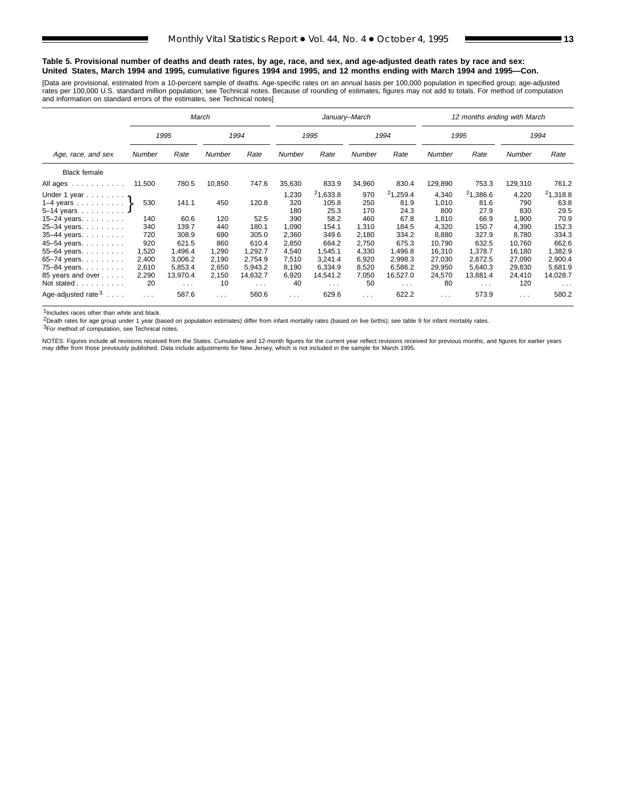#### **Table 5. Provisional number of deaths and death rates, by age, race, and sex, and age-adjusted death rates by race and sex: United States, March 1994 and 1995, cumulative figures 1994 and 1995, and 12 months ending with March 1994 and 1995—Con.**

[Data are provisional, estimated from a 10-percent sample of deaths. Age-specific rates on an annual basis per 100,000 population in specified group; age-adjusted<br>rates per 100,000 U.S. standard million population; see Tec

|                                                                                                    |                               |                                                           | March                         |                                                        |                                     |                                            | January-March                     |                                                        |                                         | 12 months ending with March                            |                                       |                                                        |
|----------------------------------------------------------------------------------------------------|-------------------------------|-----------------------------------------------------------|-------------------------------|--------------------------------------------------------|-------------------------------------|--------------------------------------------|-----------------------------------|--------------------------------------------------------|-----------------------------------------|--------------------------------------------------------|---------------------------------------|--------------------------------------------------------|
|                                                                                                    |                               | 1995                                                      |                               | 1994                                                   |                                     | 1995                                       |                                   | 1994                                                   |                                         | 1995                                                   |                                       | 1994                                                   |
| Age, race, and sex                                                                                 | Number                        | Rate                                                      | Number                        | Rate                                                   | Number                              | Rate                                       | Number                            | Rate                                                   | Number                                  | Rate                                                   | Number                                | Rate                                                   |
| <b>Black female</b>                                                                                |                               |                                                           |                               |                                                        |                                     |                                            |                                   |                                                        |                                         |                                                        |                                       |                                                        |
| All ages                                                                                           | 11,500                        | 780.5                                                     | 10,850                        | 747.6                                                  | 35,630                              | 833.9                                      | 34,960                            | 830.4                                                  | 129,890                                 | 753.3                                                  | 129,310                               | 761.2                                                  |
| Under 1 year $\eta$<br>$1-4$ years<br>5-14 years $\ldots$<br>15–24 years. $\ldots$<br>25-34 years. | 530<br>140<br>340             | 141.1<br>60.6<br>139.7                                    | 450<br>120<br>440             | 120.8<br>52.5<br>180.1                                 | 1,230<br>320<br>180<br>390<br>1,090 | 21,633.8<br>105.8<br>25.3<br>58.2<br>154.1 | 970<br>250<br>170<br>460<br>1,310 | 21,259.4<br>81.9<br>24.3<br>67.8<br>184.5              | 4.340<br>1,010<br>800<br>1,810<br>4,320 | 21,386.6<br>81.6<br>27.9<br>66.9<br>150.7              | 4,220<br>790<br>830<br>1,900<br>4,390 | 21,318.8<br>63.8<br>29.5<br>70.9<br>152.3              |
| 35-44 years.<br>45-54 years.<br>55-64 years. $\ldots$                                              | 720<br>920<br>1,520           | 308.9<br>621.5<br>1,496.4                                 | 690<br>860<br>1,290           | 305.0<br>610.4<br>1,292.7                              | 2,360<br>2,850<br>4,540             | 349.6<br>664.2<br>1,545.1                  | 2,180<br>2,750<br>4,330           | 334.2<br>675.3<br>1,496.8                              | 8,880<br>10,790<br>16,310               | 327.9<br>632.5<br>1.378.7                              | 8,780<br>10,760<br>16,180             | 334.3<br>662.6<br>1,382.9                              |
| 65-74 years.<br>75-84 years.<br>85 years and over<br>Not stated                                    | 2,400<br>2,610<br>2,290<br>20 | 3,006.2<br>5.853.4<br>13,970.4<br>$\sim 100$ km s $^{-1}$ | 2,190<br>2,650<br>2,150<br>10 | 2,754.9<br>5.943.2<br>14,632.7<br>$\sim$ $\sim$ $\sim$ | 7,510<br>8,190<br>6,920<br>40       | 3,241.4<br>6.334.9<br>14,541.2<br>$\cdots$ | 6,920<br>8,520<br>7,050<br>50     | 2,998.3<br>6.586.2<br>16,527.0<br>$\sim$ $\sim$ $\sim$ | 27,030<br>29,950<br>24,570<br>80        | 2,872.5<br>5.640.3<br>13,881.4<br>$\sim$ $\sim$ $\sim$ | 27,090<br>29,830<br>24,410<br>120     | 2,900.4<br>5,681.9<br>14,028.7<br>$\sim$ $\sim$ $\sim$ |
| Age-adjusted rate $3 \ldots$ .                                                                     | $\cdots$                      | 587.6                                                     | $\sim$ $\sim$                 | 560.6                                                  | $\cdots$                            | 629.6                                      | .                                 | 622.2                                                  | $\sim$ $\sim$ $\sim$                    | 573.9                                                  | $\cdots$                              | 580.2                                                  |

1Includes races other than white and black.

2Death rates for age group under 1 year (based on population estimates) differ from infant mortality rates (based on live births); see table 9 for infant mortality rates.

3For method of computation, see Technical notes.

NOTES: Figures include all revisions received from the States. Cumulative and 12-month figures for the current year reflect revisions received for previous months, and figures for earlier years may differ from those previously published. Data include adjustments for New Jersey, which is not included in the sample for March 1995.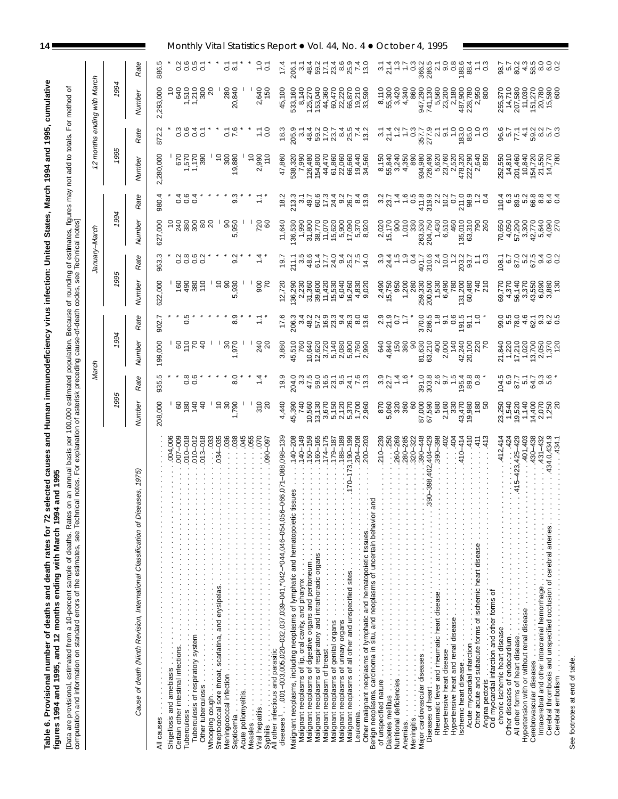| ior 72 selected causes and Human immunodeficiency virus infection: United States, March 1994 and 1995, cumulative                 | s. Rates on an annual basis per 100,000 estimated population. Because of rounding of estimates, figures may not add to totals. For method of                                                                                                       |
|-----------------------------------------------------------------------------------------------------------------------------------|----------------------------------------------------------------------------------------------------------------------------------------------------------------------------------------------------------------------------------------------------|
| figures 1994 and 1995, and 12 months ending with March 1994 and 1995<br>Table 6. Provisional number of deaths and death rates for | e Technical notes. For explanation of asterisk preceding cause-of-death codes, see Technical notes]<br>computation and information on standard errors of the estimates, see<br>Data are provisional, estimated from a 10-percent sample of deaths. |

| ∟vata are provisional, esimated irom a ⊓∪-percent sample or deaths. Rates on an annual basis per 100,000 estimated population. Because of rounding of estimates, figures may not add to totals.<br>computation and information o |                                                | March                |                           |                                    |                                                                                   |                               | January–March                      |                                        | 22                                                                                                                                                                                                                                                               | months                        | with March<br>ending                                        |                                                                   |                                                                    |
|----------------------------------------------------------------------------------------------------------------------------------------------------------------------------------------------------------------------------------|------------------------------------------------|----------------------|---------------------------|------------------------------------|-----------------------------------------------------------------------------------|-------------------------------|------------------------------------|----------------------------------------|------------------------------------------------------------------------------------------------------------------------------------------------------------------------------------------------------------------------------------------------------------------|-------------------------------|-------------------------------------------------------------|-------------------------------------------------------------------|--------------------------------------------------------------------|
|                                                                                                                                                                                                                                  | 1995                                           |                      | 1994                      |                                    | 1995                                                                              |                               | 1994                               |                                        | 1995                                                                                                                                                                                                                                                             |                               | 1994                                                        |                                                                   |                                                                    |
| 1975)<br>ဖ<br>Cause of death (Ninth Revision, International Classification of Disease                                                                                                                                            | Number                                         | Rate                 | Number                    | Rate                               | Numbei                                                                            | Rate                          | Number                             | Rate                                   | Numbei                                                                                                                                                                                                                                                           | Rate                          | Numbei                                                      | Rate                                                              |                                                                    |
|                                                                                                                                                                                                                                  | 208,000                                        | ၒ<br>935.            | 199,000                   | 902.7                              | 622,000                                                                           | 963.3                         | 600<br>627                         | 980.4                                  | ,280,000<br>Ñ                                                                                                                                                                                                                                                    | 872.                          | 2,293,000                                                   | 886.                                                              |                                                                    |
| 004,006                                                                                                                                                                                                                          |                                                |                      |                           |                                    |                                                                                   |                               |                                    |                                        |                                                                                                                                                                                                                                                                  |                               |                                                             |                                                                   |                                                                    |
| 007-009                                                                                                                                                                                                                          | egaa                                           |                      | 8564                      | ယ္<br>ö                            | 6885                                                                              | $N$ $\infty$ $\infty$ $N$ $*$ | ន្តន្តខ្លួនន                       | $4\ 6\ 4$<br>0                         | 670                                                                                                                                                                                                                                                              | ო დ                           | 640                                                         |                                                                   |                                                                    |
| 010-018                                                                                                                                                                                                                          |                                                | ∞ ပ<br>0Ö            |                           |                                    |                                                                                   | 6666                          |                                    | 00                                     | $1,570$<br>$1,170$                                                                                                                                                                                                                                               | 4<br>oooo                     | <b>1210</b>                                                 | oooo                                                              |                                                                    |
| $013 - 018$                                                                                                                                                                                                                      |                                                |                      |                           |                                    |                                                                                   |                               |                                    |                                        | 390                                                                                                                                                                                                                                                              |                               | 300                                                         |                                                                   |                                                                    |
| .035<br>034                                                                                                                                                                                                                      |                                                |                      |                           |                                    | $\tilde{c}$                                                                       |                               |                                    |                                        | $\frac{1}{2}$                                                                                                                                                                                                                                                    |                               | ର                                                           |                                                                   |                                                                    |
| 038                                                                                                                                                                                                                              | $288$<br>$-288$                                | 0<br>ထဲ              | 970<br>07                 | ق<br>ထံ                            | 950<br>080                                                                        | $\sim$<br>တ                   | 950<br>050<br>Ю                    | တ                                      | 300<br>19,880                                                                                                                                                                                                                                                    | $\frac{76}{6}$                | 280<br>20,840                                               | ⊝ ∞                                                               |                                                                    |
| 045<br>055                                                                                                                                                                                                                       |                                                |                      |                           |                                    |                                                                                   |                               |                                    |                                        |                                                                                                                                                                                                                                                                  |                               |                                                             |                                                                   |                                                                    |
| 070<br>090-097                                                                                                                                                                                                                   | 310                                            |                      | 240                       |                                    | 900<br>70                                                                         |                               | 720                                |                                        | $\frac{1}{2}$<br>2,990<br>$\frac{1}{2}$                                                                                                                                                                                                                          | $\frac{1}{10}$                | 2,640<br>150                                                | $\overline{0}$ .                                                  | Monthly Vital Statistics Report • Vol. 44, No. 4 • October 4, 1995 |
| 071-088,098-139<br>diseases '. 001-003,005,020-032,037,039-041,*042-*044,046-054,056-066                                                                                                                                         | 4,440                                          | 19.9                 | 3,880                     | 17.6                               | 12,720                                                                            | 19.7                          | 11,640                             | $\frac{8}{1}$                          | 47,860                                                                                                                                                                                                                                                           | $\frac{8}{10}$                | 45,100                                                      | 17.4                                                              |                                                                    |
| $40 - 208$<br>Malignant neoplasms, including neoplasms of lymphatic and hematopoietic tissue                                                                                                                                     | 45,390                                         | 204.0                | 45,510                    | 206.3                              | 136,290                                                                           | 211.1                         | 136,530                            | 213.3                                  |                                                                                                                                                                                                                                                                  | 205.                          | 533,160                                                     | 206.                                                              |                                                                    |
| $40 - 149$                                                                                                                                                                                                                       | 740                                            |                      | 760                       | က                                  |                                                                                   | 3.5                           | 1,990                              | 6                                      | 538,320<br>7,990                                                                                                                                                                                                                                                 | 6                             | 8,140                                                       | $\sim$                                                            |                                                                    |
| $160 - 165$<br>$150 - 159$                                                                                                                                                                                                       | 10,560<br>13,130<br>19,670<br>19,120<br>19,100 |                      | 10,640<br>12,620<br>3,720 |                                    | 2,230<br>31,360<br>39,600                                                         |                               | 31,800<br>38,770                   |                                        | 126,480<br>154,800                                                                                                                                                                                                                                               |                               | 125,270<br>153,040<br>44,360<br>60,470                      |                                                                   |                                                                    |
| $174 - 175$                                                                                                                                                                                                                      |                                                |                      |                           |                                    |                                                                                   |                               | 11,070                             |                                        |                                                                                                                                                                                                                                                                  |                               |                                                             |                                                                   |                                                                    |
| $188 - 189$<br>$179 - 187$                                                                                                                                                                                                       |                                                |                      | 5,140                     |                                    | $\begin{array}{r} 11,420 \\ 15,530 \\ 6,040 \\ 6,040 \end{array}$                 |                               | $15,620$<br>$5,900$<br>$17,090$    |                                        |                                                                                                                                                                                                                                                                  |                               |                                                             |                                                                   |                                                                    |
| $190 - 199$                                                                                                                                                                                                                      |                                                |                      | 2,080<br>5,800            |                                    |                                                                                   |                               |                                    |                                        |                                                                                                                                                                                                                                                                  |                               |                                                             |                                                                   |                                                                    |
| $04 - 208$<br>200–203                                                                                                                                                                                                            | 1,700<br>2,960                                 |                      | 1,760<br>2,990            | 856238886<br>85639888              | 4,830<br>9,020                                                                    | 851704250914509245092         | 5,370<br>8,920                     |                                        | $\begin{array}{l} 4.6900000\\ 4.6900000\\ 4.690000\\ 4.69000\\ 4.69000\\ 4.69000\\ 4.69000\\ 4.6900\\ 4.6900\\ 4.6900\\ 4.6900\\ 4.6900\\ 4.6900\\ 4.6900\\ 4.6900\\ 4.6900\\ 4.6900\\ 4.6900\\ 4.6900\\ 4.6900\\ 4.6900\\ 4.6900\\ 4.6900\\ 4.6900\\ 4.6900\\ $ |                               | 22,220<br>66,870<br>19,210<br>33,590                        | $485 - 299$ $-499$<br>$-499$ $-499$<br>$-499$<br>$-499$<br>$-499$ |                                                                    |
|                                                                                                                                                                                                                                  |                                                |                      |                           |                                    |                                                                                   |                               |                                    |                                        |                                                                                                                                                                                                                                                                  |                               |                                                             |                                                                   |                                                                    |
| .250<br>$210 - 239$                                                                                                                                                                                                              | 870<br>5,060<br>320                            | $327 + 46$           | 8 x i<br>8 x i            | 2.9<br>2.9<br>2.07                 | 2,490<br>15,750<br>950                                                            |                               | 2,020<br>15,170                    | ್ ಸ್ಪ                                  | 8,150<br>55,840                                                                                                                                                                                                                                                  | 374950                        | 8,110<br>55,300                                             | 3740                                                              |                                                                    |
| $260 - 269$                                                                                                                                                                                                                      |                                                |                      |                           |                                    |                                                                                   |                               | 900                                |                                        | 3,240                                                                                                                                                                                                                                                            |                               | 3,420                                                       |                                                                   |                                                                    |
| 280-285<br>320-322<br>Meningitis.                                                                                                                                                                                                | 360<br>8                                       |                      | 380<br>8                  | $\ddot{ }$ :                       | 1,200<br>280                                                                      |                               | 1,010                              |                                        | 4,350<br>890                                                                                                                                                                                                                                                     |                               | 4,340<br>860                                                | $\frac{1}{2}$                                                     |                                                                    |
| 390-448                                                                                                                                                                                                                          |                                                |                      | 81,630<br>63,210          |                                    |                                                                                   |                               |                                    |                                        |                                                                                                                                                                                                                                                                  |                               |                                                             |                                                                   |                                                                    |
| 404-429<br>390-398                                                                                                                                                                                                               | 87,000<br>67,590<br>580                        |                      | 400                       | 370.0<br>286.5<br>1.8              | 259,330<br>200,500<br>1,530                                                       |                               | 330<br>263,530<br>204,750<br>1,430 |                                        |                                                                                                                                                                                                                                                                  |                               |                                                             |                                                                   |                                                                    |
| $-402$                                                                                                                                                                                                                           | 2,160                                          |                      | 2,000                     | $\frac{1}{9}$ .6                   | ,490                                                                              |                               | 6,510                              |                                        | 934,980<br>726,490<br>726,490<br>23,760<br>2,520                                                                                                                                                                                                                 | 357.7<br>277.8<br>377.95      |                                                             |                                                                   |                                                                    |
| 404                                                                                                                                                                                                                              | 330                                            |                      | 140                       |                                    | 780                                                                               |                               | 460                                |                                        |                                                                                                                                                                                                                                                                  |                               |                                                             |                                                                   |                                                                    |
| 410<br>414<br>$\frac{410}{5}$                                                                                                                                                                                                    | 43,470<br>19,980                               |                      | 42,240<br>20,100          | 91.1<br>91.1                       | 131,200<br>60,480                                                                 |                               | $135,010$<br>$63,310$              |                                        | 478,320<br>222,290<br>2,640                                                                                                                                                                                                                                      |                               |                                                             | ဖ<br>188.                                                         |                                                                    |
|                                                                                                                                                                                                                                  | 180                                            |                      | 220                       | Q                                  | 740<br>210                                                                        |                               | <b>P</b> 80                        |                                        |                                                                                                                                                                                                                                                                  |                               |                                                             | $ \infty$<br>$\div$ 0                                             |                                                                    |
| 413<br>Angina pectoris<br>Old myocardial infarction and other forms of                                                                                                                                                           | 5                                              |                      |                           |                                    |                                                                                   |                               |                                    |                                        | 850                                                                                                                                                                                                                                                              |                               | 800                                                         |                                                                   |                                                                    |
| .412,414<br>.424                                                                                                                                                                                                                 |                                                |                      |                           |                                    |                                                                                   | 108.1                         |                                    | 10.                                    |                                                                                                                                                                                                                                                                  |                               |                                                             | ஜ் ம் ஐ்                                                          |                                                                    |
| $-423,425 - 429$                                                                                                                                                                                                                 |                                                | sorthwe*<br>corthwe* |                           | 8 n 6 4 9 9 6 0<br>8 n 6 4 9 9 6 0 | 09 770<br>09 78 770 90 90 90<br>09 4 9 70 90 90 90 91<br>09 4 9 70 90 90 90 91 92 | 87.02.9<br>87.02.9<br>87.0    |                                    | c 8 r 8 r 9 r 9 r<br>c 8 r 8 r 9 r 9 r | 252,550<br>14,810<br>201,460<br>10,840                                                                                                                                                                                                                           | $80577288000$<br>$8057798000$ | 255,370<br>14,710<br>207,580<br>207,270<br>15,590<br>15,590 | <i><u>rragnoon</u></i>                                            |                                                                    |
| 401,403<br>430-438                                                                                                                                                                                                               |                                                |                      |                           |                                    |                                                                                   |                               |                                    |                                        |                                                                                                                                                                                                                                                                  |                               |                                                             | 4.8                                                               |                                                                    |
| 34.0,434.9<br>431-432                                                                                                                                                                                                            |                                                |                      |                           |                                    |                                                                                   | 400<br>တ် ဖ် ဝ                |                                    |                                        | 154,720<br>21,550<br>14,770<br>14,770                                                                                                                                                                                                                            |                               |                                                             | $\infty$                                                          |                                                                    |
| .434.1                                                                                                                                                                                                                           |                                                |                      |                           |                                    |                                                                                   |                               |                                    |                                        |                                                                                                                                                                                                                                                                  |                               | <b>600</b>                                                  | ဖ ဝ                                                               |                                                                    |
|                                                                                                                                                                                                                                  |                                                |                      |                           |                                    |                                                                                   |                               |                                    |                                        |                                                                                                                                                                                                                                                                  |                               |                                                             |                                                                   |                                                                    |

See footnotes at end of table. See footnotes at end of table.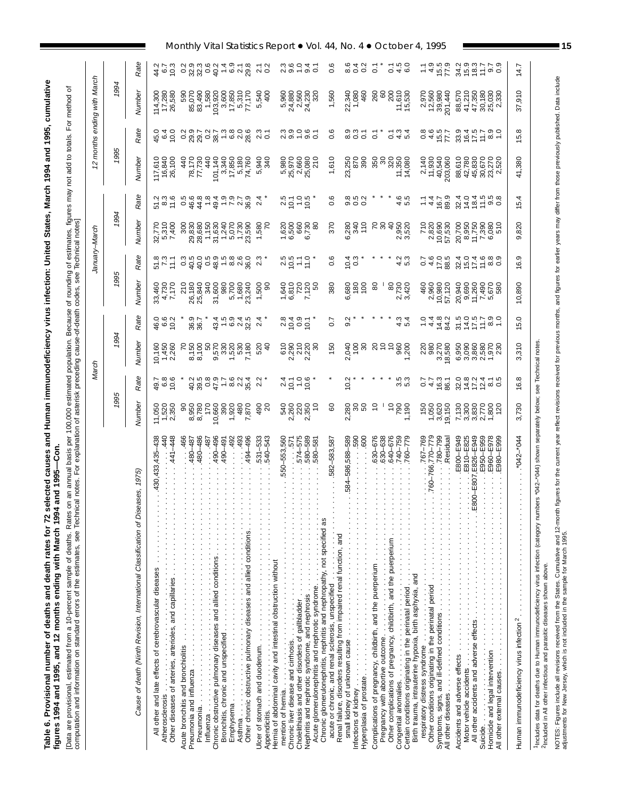Table 6. Provisional number of deaths and death rates for 72 selected causes and Human immunodeficiency virus infection: United States, March 1994 and 1995, cumulative<br>figures 1994 and 1995, and 12 months ending with March Table 6. Provisional number of deaths and death rates for 72 selected causes and Human immunodeficiency virus infection: United States, March 1994 and 1995, cumulative figures 1994 and 1995, and 12 months ending with March 1994 and 1995—Con.

[Data are provisional, estimated from a 10-percent sample of deaths. Rates on an annual basis per 100,000 estimated population. Because of rounding of estimates, figures may not add to totals. For method of<br>computation and [Data are provisional, estimated from a 10-percent sample of deaths. Rates on an annual basis per 100,000 estimated population. Because of rounding of estimates, figures may not add to totals. For method of computation and information on standard errors of the estimates, see Technical notes. For explanation of asterisk preceding cause-of-death codes, see Technical notes]

|                                                                                                                                                                                                                                                                                                                                                                                |                                                  | March                                 |                                                    |                                                                               |                                                  |                                     | January-March                                        |                                              |                                                                                     |                                                                        | 12 months ending with March                                                 |                                                |
|--------------------------------------------------------------------------------------------------------------------------------------------------------------------------------------------------------------------------------------------------------------------------------------------------------------------------------------------------------------------------------|--------------------------------------------------|---------------------------------------|----------------------------------------------------|-------------------------------------------------------------------------------|--------------------------------------------------|-------------------------------------|------------------------------------------------------|----------------------------------------------|-------------------------------------------------------------------------------------|------------------------------------------------------------------------|-----------------------------------------------------------------------------|------------------------------------------------|
|                                                                                                                                                                                                                                                                                                                                                                                | 1995                                             |                                       | 1994                                               |                                                                               | 1995                                             |                                     | 1994                                                 |                                              | 1995                                                                                |                                                                        | 1994                                                                        |                                                |
| ses, 1975)<br>Cause of death (Ninth Revision, International Classification of Disea                                                                                                                                                                                                                                                                                            | Number                                           | Rate                                  | Numbei                                             | Rate                                                                          | Number                                           | Rate                                | Number                                               | Rate                                         | Number                                                                              | Rate                                                                   | Numbei                                                                      | Rate                                           |
| 440<br>441–448<br>430,433,435-438<br>All other and late effects of cerebrovascular diseases                                                                                                                                                                                                                                                                                    | 1,520<br>2,350<br>11,050                         | 9.8<br>9.9.9<br>9.9                   | 10,160<br>1,450<br>2,260                           | $460$<br>$902$                                                                | 4,730<br>7,170<br>33,460                         | 51.8<br>7.3<br>11.1                 | 32,770<br>5,310<br>7,400                             | 11.6<br>نی نی<br>بع تع<br>1¤                 | 117,610<br>16,840<br>26,100                                                         | $460$<br>$640$                                                         | 114,300<br>17,280<br>26,580                                                 | 44.7<br>6.7<br>10.3                            |
| 480-486<br>.466<br>480-487                                                                                                                                                                                                                                                                                                                                                     | 8,950<br>8,780<br>8                              |                                       | 8,150<br>8,100                                     | 36.7<br>36.7                                                                  | 210<br>26,180<br>25,840<br>340                   | $\mathbf{c}^3$                      | 300<br>29,830<br>28,680                              |                                              | 440<br>78,170<br>77,730                                                             |                                                                        | 85,070<br>83,490<br>1,580<br>590                                            | 0.2                                            |
| 490-496<br>494-496<br>493<br>.487<br>490-491<br>.492                                                                                                                                                                                                                                                                                                                           | 170<br>10,660<br>1,920<br>480<br>870<br>390      | $2800 + 6014$<br>$3900 + 6014$        | 50<br>9,570                                        | $\frac{5}{15}$<br>0 4 5<br>0 9 9 9<br>43.4                                    | 31,600<br>980<br>5,700<br>1,680<br>23,240        |                                     | 1,150<br>31,630<br>1,240<br>5,070<br>1,730<br>23,590 | 0 \$ \$ + \$ - L u &<br>0 \$ \$ + \$ - L u & | 440<br>$\begin{array}{c} 101,140 \\ 3,340 \\ 17,850 \\ 5,180 \end{array}$<br>74,760 |                                                                        | $\begin{array}{c} 103,920 \\ 3,600 \\ 17,850 \\ 5,310 \\ 7,710 \end{array}$ |                                                |
| 531-533<br>540-543                                                                                                                                                                                                                                                                                                                                                             | 490<br>ຊ                                         | $\sim$                                | 520<br>$\frac{6}{4}$                               | $^{2.4}$                                                                      | 1,500<br>္တ                                      | 2.3                                 | 1,580                                                | 2.4                                          | 5,940<br>340                                                                        | ო<br>ನೆ 5<br>ನ                                                         | 5,540<br>$rac{1}{4}$                                                        | $\frac{7}{20}$                                 |
| 580-589<br>574-575<br>550-553,560<br>1.571<br>580-581<br>mention of hernia.<br>Chronic liver disease and cirrhosis.<br>Choleithiasis and other disorders of galleladder.<br>Choleithiasis and other disorders of galleladder.<br>Acute glomerulonephritis and nephrotic syndrome.                                                                                              | 540<br>2,260<br>2,350<br>2,350<br>S              | $34 - 96$                             | 2,290<br>2,220<br>2,220<br>610<br>$\boldsymbol{S}$ | $0.0000$<br>$0.0000$                                                          | 1,640<br>6,810<br>720<br>7,120                   | $30.57$<br>$-2.5$                   | $1,620$<br>6,500<br>660<br>6,730<br>80               | $30 - 50$<br>$-20$                           | 25,970<br>2,660<br>25,080<br>210<br>5,980                                           | ∞ ∞ ─ ─ ─<br>∾ ∞ ─ ∞ ─                                                 | 5,880<br>24,560<br>24,230<br>24,230<br>320                                  | ِم<br>$\frac{0}{1}$<br>$\frac{4}{0.1}$<br>പ്ത് |
| 584-586,588-589<br>590<br>600<br>.582-583,587<br>small kidney of unknown cause<br>Integrange fidely<br>Hypergraphy<br>Hypergraphs are also a constructed in the construction of the constraint of the constraint of the constraint of the constraint of the constraint of the constra                                                                                          | 2,280<br>8<br>8<br>SO                            | $\frac{2}{10}$                        | 150<br>2,040<br>100<br>30                          | 50<br>9.2                                                                     | 380<br>6,680<br>180<br>100                       | ٥.6<br>$\frac{10.4}{0.3}$           | 370<br>.280<br>340<br>110<br>ة                       | 0.6<br>ao roj coj<br>ၜၜၜ                     | 1,610<br>870<br>390<br>23,250                                                       | ڢ<br>စ္ပ္က ၁<br>၁ ၁<br>$\overline{c}$                                  | 22,340<br>1,080<br>460<br>1,560                                             | ڡ<br>ဖ<br>4<br>0.2<br>ö<br>∞<br>ö              |
| 630-676<br>630-638<br>640-676<br>740-759<br>760-779<br>Complications of pregnancy, childbirth, and the puerperium $\ldots$ , $\ldots$ , $\ldots$ , $\ldots$ , $\ldots$ , $\ldots$ , $\ldots$ , $\ldots$ , $\ldots$ , $\ldots$ , $\ldots$ , $\ldots$ , $\ldots$ , $\ldots$ , $\ldots$ , $\ldots$ , $\ldots$ , $\ldots$ , $\ldots$ , $\ldots$ , $\ldots$ , $\ldots$ , $\ldots$ , | S<br>S<br>$790$<br>$1,190$                       | ს ს<br>ຕ່ທ                            | ខន្លួន<br>$\tilde{c}$                              | ო<br>4<br>ທ<br>4                                                              | 80<br>2,730<br>3,420<br>80                       | ن نی<br>⊄ ი                         | $80^{\circ}$<br>2,950<br>3,520                       | ب ب<br>ယ<br>4                                | 320<br>11,350<br>14,080<br>ន្ល<br>ន                                                 | $\frac{3}{4}$<br>$\overline{c}$<br>$\tilde{\circ}$<br>ယ္               | $11,610$<br>$15,530$<br>260<br>8<br>200                                     | ယ<br>$\circ$<br>ā<br>c<br>ه به                 |
| $.767 - 769$<br>760-766,770-779<br>780-799<br>Residual.                                                                                                                                                                                                                                                                                                                        | 1,050<br>3,620<br>150<br>9,150                   | $\overline{0}$<br>$4.7$<br>$4.6$ 36.1 | 980<br>,270<br>18,580<br>220<br>ω.                 | $\frac{0}{1}$<br>14.8<br>4.4<br>84.2                                          | 2,960<br>10,980<br>460<br>57,120                 | $\overline{0}$<br>$47.88$<br>$78.5$ | 710<br>2,820<br>10,690<br>57,530                     | 89.9<br>$\frac{4.7}{4.7}$<br>Ξ               | 2,140<br>11,930<br>40,540<br>203,060                                                | $0.\overline{8}$<br>$457$<br>$777$                                     | 2,970<br>12,560<br>39,980<br>201,440                                        | $4.5$<br>$15.5$<br>77.9                        |
| E810-E825<br>$-EB07, E826 - E949$<br>E950-E959<br>E960-E978<br>E800-E949<br>E980-E999<br>Accidents and adverse effects<br>Motor vehicle accidents<br>All other accidents and adverse effects<br>Suicide.<br>Homicide and legal intervention<br>Homicide and legal intervention<br>All other external causes.<br>All other external ca                                          | 3,830<br>2,770<br>7,130<br>3,300<br>1,800<br>120 | ن ب<br>3477900                        | 6,950<br>3,090<br>3,860<br>2,580<br>1,970<br>079.1 | $\frac{0}{6}$ - $\frac{0}{6}$<br>$71.7$<br>$7.5$<br>$7.5$<br>31.5<br>$\infty$ | 20,940<br>11,260<br>9,690<br>7,490<br>670<br>580 | ထ တ<br>32116<br>30116<br>$\infty$   | 11,750<br>20,700<br>8,950<br>7,390<br>6,080<br>510   | տ ထ<br>$7875$<br>$7875$<br>32.4<br>၈ ဝ       | 88,610<br>42,780<br>45,830<br>30,670<br>23,270<br>2,520                             | 33.9<br>$16.7$<br>$7.5$<br>$7.7$<br>$\frac{0}{6}$ - $\frac{0}{6}$<br>∞ | 41,210<br>47,350<br>30,180<br>25,030<br>88,570                              | $0.7$<br>$0.9$<br>Ņ<br>$15.3$<br>$15.7$<br>र्भ |
| "042-044                                                                                                                                                                                                                                                                                                                                                                       | 3,730                                            | 16.8                                  | 3,310                                              | 15.0                                                                          | 10,890                                           | တ<br>\$                             | 9,820                                                | 15.4                                         | 41,380                                                                              | 15.8                                                                   | 37,910                                                                      | 14.7                                           |
| rs *042-*044) shown separately below; see Technical notes.<br><sup>1</sup> Includes data for deaths due to Human immunodeficiency virus infection (category numbe                                                                                                                                                                                                              |                                                  |                                       |                                                    |                                                                               |                                                  |                                     |                                                      |                                              |                                                                                     |                                                                        |                                                                             |                                                |

diseases shown above. 2Included in All other infectious and parasitic diseases shown above. ctions and parasitic Fincluded in All oth NOTES: Figures include all revisions received from the States. Cumulative and 12-month figures for the current year reflect revisions received for previous mod figures for earlier years may differ from those previously pub NOTES: Figures include all revisions received from the States. Cumulative and 12-month figures for the current year reflect revisions received for previous and figures for earlier years may differ from those previously pub adjustments for New Jersey, which is not included in the sample for March 1995.

Monthly Vital Statistics Report  $\bullet$  Vol. 44, No. 4  $\bullet$  October 4, 1995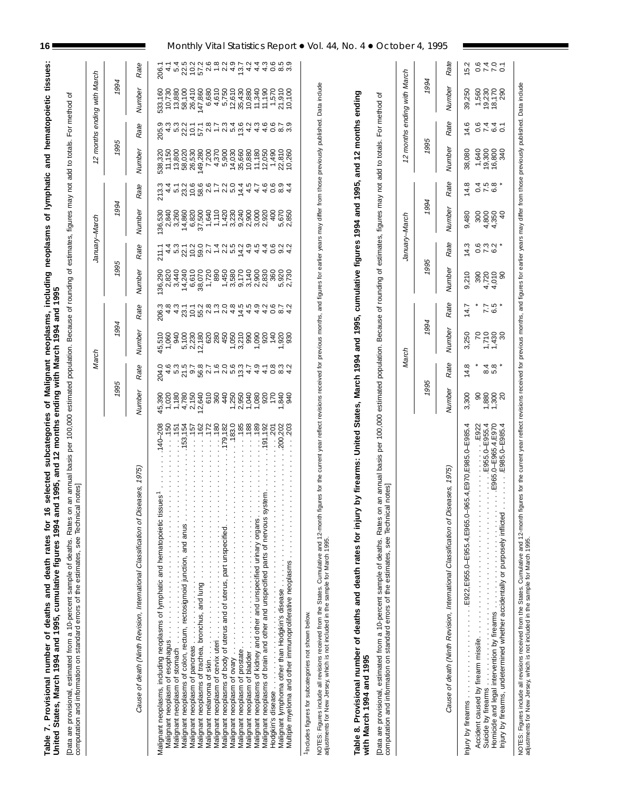Table 7. Provisional number of deaths and death rates for 16 selected subcategories of Malignant neoplasms, including neoplasms of lymphatic and hematopoietic tissues:<br>United States, March 1994 and 1995, cumulative figures Table 7. Provisional number of deaths and death rates for 16 selected subcategories of Malignant neoplasms, including neoplasms of lymphatic and hematopoietic tissues: United States, March 1994 and 1995, cumulative figures 1994 and 1995, and 12 months ending with March 1994 and 1995

athod of [Data are provisional, estimated from a 10-percent sample of deaths. Rates on an annual basis per 100,000 estimated population. Because of rounding of estimates, figures may not add to totals. For method of Ğ to totale چ<br>ټه  $\tilde{c}$ ated nonulation Becau ner 100 000 estim ة<br>مطالح estimated from a 10-nercent sample of deaths. Rates icional nata are

|                                                                                                                                                                                                                                                                                                          |                       | March                                                                                                                                                                                                                                                                                                                                                                           |                            |                         |                | January-March                                                         |                                                          |                                           |                            |                                                                                                                | 12 months ending with March |                 |
|----------------------------------------------------------------------------------------------------------------------------------------------------------------------------------------------------------------------------------------------------------------------------------------------------------|-----------------------|---------------------------------------------------------------------------------------------------------------------------------------------------------------------------------------------------------------------------------------------------------------------------------------------------------------------------------------------------------------------------------|----------------------------|-------------------------|----------------|-----------------------------------------------------------------------|----------------------------------------------------------|-------------------------------------------|----------------------------|----------------------------------------------------------------------------------------------------------------|-----------------------------|-----------------|
|                                                                                                                                                                                                                                                                                                          | 1995                  |                                                                                                                                                                                                                                                                                                                                                                                 | 1994                       |                         | 1995           |                                                                       | 1994                                                     |                                           | 1995                       |                                                                                                                | 1994                        |                 |
| eases, 1975)<br>Cause of death (Ninth Revision, International Classification of Dis                                                                                                                                                                                                                      | Number                | Rate                                                                                                                                                                                                                                                                                                                                                                            | Number                     | Rate                    | Number         | Rate                                                                  | Number                                                   | Rate                                      | Number                     | Rate                                                                                                           | Number                      | Rate            |
|                                                                                                                                                                                                                                                                                                          |                       |                                                                                                                                                                                                                                                                                                                                                                                 |                            |                         |                |                                                                       |                                                          |                                           |                            |                                                                                                                |                             |                 |
| $.140 - 208$<br>Malignant neoplasms, including neoplasms of lymphatic and hematopoietic tissues                                                                                                                                                                                                          | 45,390                | 204.0                                                                                                                                                                                                                                                                                                                                                                           | 45,510                     |                         | 36,290         | 211.1                                                                 | 136,530                                                  | 213.3                                     | 538,320<br>11,150          | 205.9                                                                                                          | 533,160<br>10,730           | 206.1           |
| $0.50$ .<br>.151                                                                                                                                                                                                                                                                                         | 1,020                 |                                                                                                                                                                                                                                                                                                                                                                                 | 1,060<br>940               | 206<br>4<br>2063<br>207 | 2,820<br>3,440 |                                                                       | 2,840<br>3,260                                           |                                           | 13,800                     |                                                                                                                | 13,880                      | $\frac{4}{5}$ 4 |
| .153,154                                                                                                                                                                                                                                                                                                 | $\frac{1,180}{4,780}$ |                                                                                                                                                                                                                                                                                                                                                                                 | 5,100                      |                         | 14,240         |                                                                       |                                                          |                                           |                            |                                                                                                                | 58,100                      |                 |
| 157                                                                                                                                                                                                                                                                                                      |                       |                                                                                                                                                                                                                                                                                                                                                                                 | 2,230                      |                         | 6,610          |                                                                       |                                                          |                                           | 58,020<br>26,530           |                                                                                                                | 26,410                      |                 |
| $\cdots$ . 162                                                                                                                                                                                                                                                                                           | 2,150<br>12,640       |                                                                                                                                                                                                                                                                                                                                                                                 | 12,180                     |                         | 38,070         |                                                                       | $\begin{array}{c} 14,860 \\ 6,820 \\ 37,500 \end{array}$ |                                           | 149,280                    | $45227$<br>$7527$                                                                                              | 147,860                     |                 |
| $\cdots$ 172<br>Malignant                                                                                                                                                                                                                                                                                |                       |                                                                                                                                                                                                                                                                                                                                                                                 |                            |                         | 1,720          |                                                                       | 1,640                                                    |                                           | 7,200                      |                                                                                                                | 6,680                       |                 |
| .180<br>.179,182<br>Malignant neoplasm of cervix uteri.<br>Malignant neoplasms of body of uterus and of uterus, part unspecified.                                                                                                                                                                        | $6845$<br>$6845$      |                                                                                                                                                                                                                                                                                                                                                                                 | $28890$<br>$7990$          |                         | 890<br>1,450   |                                                                       | $1,420$<br>$1,420$<br>$3,230$                            |                                           | 4,370<br>5,900             |                                                                                                                | 4,610<br>5,750              |                 |
| .183.0                                                                                                                                                                                                                                                                                                   |                       |                                                                                                                                                                                                                                                                                                                                                                                 |                            |                         | 3,580          |                                                                       |                                                          |                                           |                            |                                                                                                                | 12,610                      |                 |
| .185                                                                                                                                                                                                                                                                                                     | 2,950                 |                                                                                                                                                                                                                                                                                                                                                                                 |                            |                         | 9,170          |                                                                       | 9,240                                                    |                                           | 14,030<br>14,030<br>10,880 |                                                                                                                |                             |                 |
| $-188$<br>Malignant neoplasm of bladder<br>Malignant neoplasms of kidney and other and unspecified urinary organs.                                                                                                                                                                                       | $1,040$<br>$1,080$    |                                                                                                                                                                                                                                                                                                                                                                                 | 3,210<br>990               |                         | 3,140          |                                                                       | 2,900                                                    |                                           |                            |                                                                                                                | 35,430<br>10,880            |                 |
| .189                                                                                                                                                                                                                                                                                                     |                       |                                                                                                                                                                                                                                                                                                                                                                                 | 1,090                      |                         | 2,900<br>2,830 |                                                                       | 3,000                                                    |                                           | $11,180$<br>$12,050$       |                                                                                                                | 11,340<br>11,190            |                 |
| .191,192<br>$-201$<br>stem<br>Malignant neoplasms of brain and other and unspecified parts of nervous sy                                                                                                                                                                                                 |                       |                                                                                                                                                                                                                                                                                                                                                                                 | 140<br>920                 |                         | 360            |                                                                       | 2,920<br>400                                             | $\begin{array}{c} 4.6 \\ 0.6 \end{array}$ | 1,490                      |                                                                                                                | 1,570                       |                 |
| 100,202                                                                                                                                                                                                                                                                                                  |                       |                                                                                                                                                                                                                                                                                                                                                                                 |                            |                         | 5,920          |                                                                       |                                                          |                                           |                            |                                                                                                                | 21,910                      |                 |
| 203<br>Multiple myeloma and other immunoproliferative neoplasms                                                                                                                                                                                                                                          | 8588                  | $\begin{array}{l} 4\;n\;\simeq\; 2\; \mathfrak{a}\;\mathfrak{b}\;\mathfrak{c}\\ 4\;n\;\simeq\; 2\; \mathfrak{a}\;\mathfrak{b}\;\mathfrak{c}\\ 4\;n\;\simeq\; 2\; \mathfrak{a}\;\mathfrak{b}\;\mathfrak{c}\\ 4\;n\;\simeq\; 2\; \mathfrak{a}\;\mathfrak{b}\;\mathfrak{c}\\ 4\;n\;\simeq\; 2\; \mathfrak{a}\;\mathfrak{c}\\ 4\;n\;\simeq\; 2\; \mathfrak{a}\;\mathfrak{c}\\ 4\;n$ | 930                        |                         | 2,730          | 4 ro SO SO SA - SA DA 4 4 4 0 0 4<br>4 ro SO SA - SA ro A 4 4 4 0 0 4 | 5,670<br>2,850                                           | $\omega \dot{q}$<br>$\infty$ 4            | 22,810<br>10,260           | 21 - 21 22 4 4 4 0 8 2 3 2 3 2 3 2 3 2 3 2 3 4 5 6 7 7 8 3 4 5 7 7 8 7 7 7 7 8 7 7 7 7 7 7 7 7 7 7 8 7 7 7 7 7 | 10,100                      |                 |
|                                                                                                                                                                                                                                                                                                          |                       |                                                                                                                                                                                                                                                                                                                                                                                 |                            |                         |                |                                                                       |                                                          |                                           |                            |                                                                                                                |                             |                 |
| 1Includes figures for subcategories not shown below.                                                                                                                                                                                                                                                     |                       |                                                                                                                                                                                                                                                                                                                                                                                 |                            |                         |                |                                                                       |                                                          |                                           |                            |                                                                                                                |                             |                 |
| NOTES: Figures include all revisions received from the States. Cumulative and 12-month figures for the current year reflect revisions received for previous of figures for earlier years may differ from those previously publ                                                                           |                       |                                                                                                                                                                                                                                                                                                                                                                                 |                            |                         |                |                                                                       |                                                          |                                           |                            |                                                                                                                |                             |                 |
|                                                                                                                                                                                                                                                                                                          |                       |                                                                                                                                                                                                                                                                                                                                                                                 |                            |                         |                |                                                                       |                                                          |                                           |                            |                                                                                                                |                             |                 |
| by firearms: United States, March 1994 and 1995, cumulative figures 1994 and 1995, and 12 months ending<br>Table 8. Provisional number of deaths and death rates for injury<br>with March 1994 and 1995                                                                                                  |                       |                                                                                                                                                                                                                                                                                                                                                                                 |                            |                         |                |                                                                       |                                                          |                                           |                            |                                                                                                                |                             |                 |
| an annual basis per 100,000 estimated population. Because of rounding of estimates, figures may not add to totals. For method<br>notes<br>[Data are provisional, estimated from a 10-percent sample of deaths. Rates on<br>computation and information on standard errors of the estimates, see Technica |                       |                                                                                                                                                                                                                                                                                                                                                                                 |                            |                         |                |                                                                       |                                                          |                                           |                            |                                                                                                                | ৳                           |                 |
|                                                                                                                                                                                                                                                                                                          |                       | March                                                                                                                                                                                                                                                                                                                                                                           |                            |                         |                | January–March                                                         |                                                          |                                           | 12 months                  |                                                                                                                | ending with March           |                 |
|                                                                                                                                                                                                                                                                                                          |                       |                                                                                                                                                                                                                                                                                                                                                                                 |                            |                         |                |                                                                       |                                                          |                                           |                            |                                                                                                                |                             |                 |
|                                                                                                                                                                                                                                                                                                          | 1995                  |                                                                                                                                                                                                                                                                                                                                                                                 | 1994                       |                         | 1995           |                                                                       | 1994                                                     |                                           | 1995                       |                                                                                                                | 1994                        |                 |
| Cause of death (Ninth Revision, International Classification of Diseases, 1975)                                                                                                                                                                                                                          | Number                | Rate                                                                                                                                                                                                                                                                                                                                                                            | Number                     | Rate                    | Number         | Rate                                                                  | Number                                                   | Rate                                      | Number                     | Rate                                                                                                           | Number                      | Rate            |
| 65.4, E970, E985.0-E985.4<br>$\ldots$ $\ldots$ E922, E955.0–E955.4, E965.0–9<br>Injury by firearms.                                                                                                                                                                                                      | 3,300                 | 14.8                                                                                                                                                                                                                                                                                                                                                                            | 3,250                      | 14.7                    | 9,210          | 14.3                                                                  | 9,480                                                    | 14.8                                      | 38,080                     | ဖ<br>4.                                                                                                        | 39,250                      | 5.2             |
| E922                                                                                                                                                                                                                                                                                                     | 8                     |                                                                                                                                                                                                                                                                                                                                                                                 | $\mathcal{L}$              |                         | 390            |                                                                       | 300                                                      |                                           | 1,640                      |                                                                                                                | 1,560                       |                 |
| E965.0-E965.4, E970.<br>$. E955.0 - E955.4$                                                                                                                                                                                                                                                              | $7,300$<br>$7,300$    | $4\overline{0}$ ,<br>ထံဟ                                                                                                                                                                                                                                                                                                                                                        | $1,430$<br>$1,430$<br>$30$ | $7.5 * 6 *$             | 4,720<br>4,010 | 6.73.4                                                                | 4,800<br>4,350                                           | 0 K @ *<br>0 K @ *                        | 19,300<br>16,800<br>340    | $044 - 0$                                                                                                      | 19,230<br>18,170<br>290     | 0470<br>0770    |
| LE985.0-E985.4                                                                                                                                                                                                                                                                                           |                       |                                                                                                                                                                                                                                                                                                                                                                                 |                            |                         | $\infty$       |                                                                       | ¥                                                        |                                           |                            |                                                                                                                |                             |                 |

NOTES: Figures include all revisions received from the States. Cumulative and 12-month figures for the current year reflect revisions received for previous, and figures for earlier years may differ from those previously pu NOTES: Figures include all revisions received from the States. Cumulative and 12-month figures for the current year provious months, and figures for earlies years may differ from those previously published. Data include adjustments for New Jersey, which is not included in the sample for March 1995.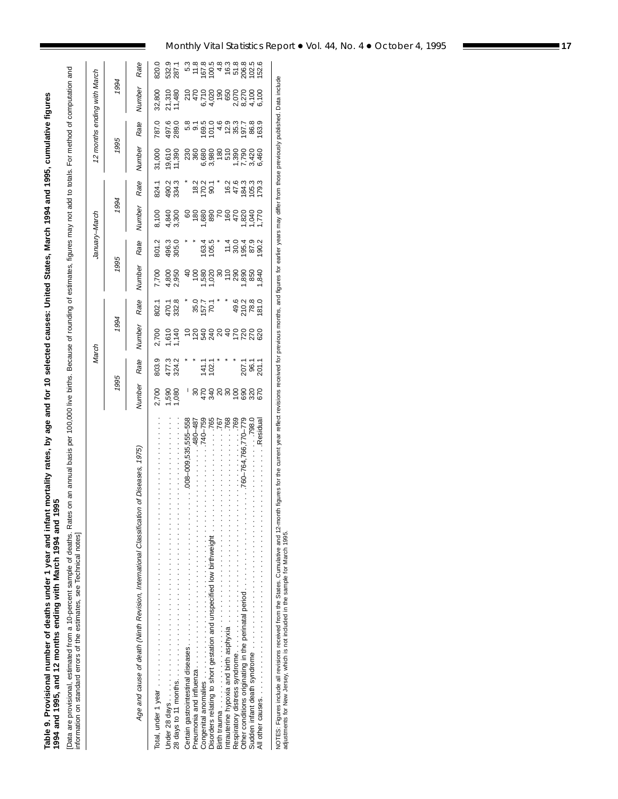Table 9. Provisional number of deaths under 1 year and infant mortality rates, by age and for 10 selected causes: United States, March 1994 and 1995, cumulative figures<br>1994 and 1995, and 12 months ending with March 1994 a Table 9. Provisional number of deaths under 1 year and infant mortality rates, by age and for 10 selected causes: United States, March 1994 and 1995, cumulative figures **1994 and 1995, and 12 months ending with March 1994 and 1995**

[Data are provisional, estimated from a 10-percent sample of deaths. Rates on an annual basis per 100,000 live births. Because of rounding of estimates, figures may not add to totals. For method of computation and<br>informat [Data are provisional, estimated from a 10-percent sample of deaths. Rates on an annual basis per 100,000 live births. Because of rounding of estimates, figures may not add to totals. For method of computation and information on standard errors of the estimates, see Technical notes]

|                                                                                                                                                                                                                                           |                       | March             |                         |                                                                                                                                 |                | January-March                                                                |                              |                                                                                |                  |                | 12 months ending with March |                |
|-------------------------------------------------------------------------------------------------------------------------------------------------------------------------------------------------------------------------------------------|-----------------------|-------------------|-------------------------|---------------------------------------------------------------------------------------------------------------------------------|----------------|------------------------------------------------------------------------------|------------------------------|--------------------------------------------------------------------------------|------------------|----------------|-----------------------------|----------------|
|                                                                                                                                                                                                                                           | 1995                  |                   | 1994                    |                                                                                                                                 | 1995           |                                                                              | 1994                         |                                                                                | 1995             |                | 1994                        |                |
| Age and cause of death (Ninth Revision, International Classification of Diseases, 1975)                                                                                                                                                   | Vumber                | Rate              | Number                  | Rate                                                                                                                            | Number         | Rate                                                                         | Number                       | Rate                                                                           | Number           | Rate           | Number                      | Rate           |
|                                                                                                                                                                                                                                           | 2,700                 | 803.9             |                         | 802.1                                                                                                                           | 7,700          | 801.2                                                                        | 8,100                        | 824.1                                                                          | 31,000           | 787.0          | 32,800                      | 820.0          |
|                                                                                                                                                                                                                                           | <b>080</b><br>080     | 477.3<br>324.2    | 2,700<br>1,610<br>1,140 | $470.7$<br>$38.0$ $7.7$ $7.7$ $8.9$<br>$70.7$ $8.9$<br>$70.7$ $8.9$<br>$70.7$<br>$80.3$<br>$70.8$<br>$70.7$<br>$70.7$<br>$70.7$ | 4,800<br>2,950 | 496.3<br>305.0<br>305.*                                                      | 4,840<br>3,300               | 490.2<br>334.3                                                                 | 19,610<br>11,390 | 497.6<br>289.0 | 21,310<br>11,480            | 532.9<br>287.1 |
|                                                                                                                                                                                                                                           |                       |                   |                         |                                                                                                                                 |                |                                                                              |                              |                                                                                |                  |                |                             |                |
| 008-009,535,555-558                                                                                                                                                                                                                       |                       |                   |                         |                                                                                                                                 |                |                                                                              |                              |                                                                                |                  |                |                             |                |
| 480–487<br>Figure 2014 and the property of the set of the set of the set of the set of the set of the set of the set of the set of the set of the set of the set of the set of the set of the set of the set of the set of the set of the |                       |                   |                         |                                                                                                                                 |                |                                                                              |                              |                                                                                |                  |                |                             |                |
| 740–759                                                                                                                                                                                                                                   |                       | 14.0<br>14.0      |                         |                                                                                                                                 |                |                                                                              |                              |                                                                                |                  |                |                             |                |
| .765<br>Disorders relating to short gestation and unspecified low birthweight                                                                                                                                                             |                       |                   |                         |                                                                                                                                 |                |                                                                              |                              |                                                                                |                  |                |                             |                |
| .767                                                                                                                                                                                                                                      |                       |                   |                         |                                                                                                                                 |                |                                                                              |                              |                                                                                |                  |                |                             |                |
| .768<br>Intrauterine hypoxia and birth asphyxia contracts in the contract of the set of the set of the set of the set of the set of the set of the set of the set of the set of the set of the set of the set of the set of the set of    | <u>នកំឌីឧនទិនិឌីន</u> |                   |                         |                                                                                                                                 |                | $1634$<br>$1634$<br>$1634$<br>$1634$<br>$1634$<br>$1634$<br>$1634$<br>$1634$ | <u>ទូទីទីខ្លួន ក្នុងទ័យវ</u> | $1203$<br>$150$<br>$150$<br>$150$<br>$150$<br>$150$<br>$150$<br>$150$<br>$150$ |                  |                |                             |                |
| .769                                                                                                                                                                                                                                      |                       |                   |                         |                                                                                                                                 |                |                                                                              |                              |                                                                                |                  |                |                             |                |
| 760-764.766.770-779<br>Other conditions originating in the perinatal period                                                                                                                                                               |                       | ີ ຮູ້ຮູ້<br>ລິອຣັ |                         |                                                                                                                                 |                |                                                                              |                              |                                                                                |                  |                |                             |                |
| .798.0                                                                                                                                                                                                                                    |                       |                   |                         |                                                                                                                                 |                |                                                                              |                              |                                                                                |                  |                |                             |                |
| Residua.                                                                                                                                                                                                                                  |                       |                   |                         |                                                                                                                                 |                |                                                                              |                              |                                                                                |                  |                |                             |                |
|                                                                                                                                                                                                                                           |                       |                   |                         |                                                                                                                                 |                |                                                                              |                              |                                                                                |                  |                |                             |                |

NOTES: Figures include all revisions received from the States. Cumulative and 12-month figures for the current year reflect revisions received for phoths, and figures for earlier years may differ from those previously publ NOTES: Figures include all revisions received from the States. Cumulative and 12-month figures for the current year relies for the current year of the parally differ from those previously published. Data include adjustments for New Jersey, which is not included in the sample for March 1995.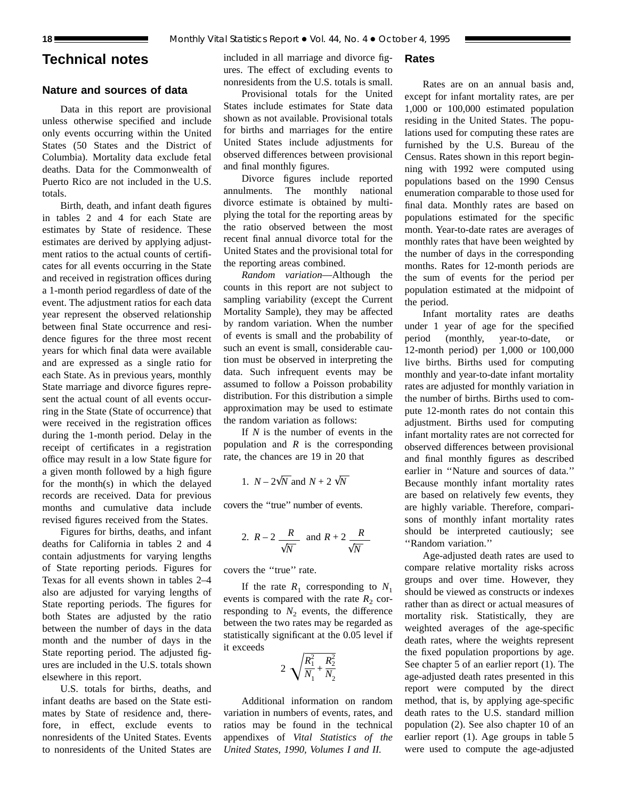## **Technical notes**

## **Nature and sources of data**

Data in this report are provisional unless otherwise specified and include only events occurring within the United States (50 States and the District of Columbia). Mortality data exclude fetal deaths. Data for the Commonwealth of Puerto Rico are not included in the U.S. totals.

Birth, death, and infant death figures in tables 2 and 4 for each State are estimates by State of residence. These estimates are derived by applying adjustment ratios to the actual counts of certificates for all events occurring in the State and received in registration offices during a 1-month period regardless of date of the event. The adjustment ratios for each data year represent the observed relationship between final State occurrence and residence figures for the three most recent years for which final data were available and are expressed as a single ratio for each State. As in previous years, monthly State marriage and divorce figures represent the actual count of all events occurring in the State (State of occurrence) that were received in the registration offices during the 1-month period. Delay in the receipt of certificates in a registration office may result in a low State figure for a given month followed by a high figure for the month(s) in which the delayed records are received. Data for previous months and cumulative data include revised figures received from the States.

Figures for births, deaths, and infant deaths for California in tables 2 and 4 contain adjustments for varying lengths of State reporting periods. Figures for Texas for all events shown in tables 2–4 also are adjusted for varying lengths of State reporting periods. The figures for both States are adjusted by the ratio between the number of days in the data month and the number of days in the State reporting period. The adjusted figures are included in the U.S. totals shown elsewhere in this report.

U.S. totals for births, deaths, and infant deaths are based on the State estimates by State of residence and, therefore, in effect, exclude events to nonresidents of the United States. Events to nonresidents of the United States are included in all marriage and divorce figures. The effect of excluding events to nonresidents from the U.S. totals is small.

## Provisional totals for the United States include estimates for State data shown as not available. Provisional totals for births and marriages for the entire United States include adjustments for observed differences between provisional and final monthly figures.

Divorce figures include reported annulments. The monthly national divorce estimate is obtained by multiplying the total for the reporting areas by the ratio observed between the most recent final annual divorce total for the United States and the provisional total for the reporting areas combined.

*Random variation*—Although the counts in this report are not subject to sampling variability (except the Current Mortality Sample), they may be affected by random variation. When the number of events is small and the probability of such an event is small, considerable caution must be observed in interpreting the data. Such infrequent events may be assumed to follow a Poisson probability distribution. For this distribution a simple approximation may be used to estimate the random variation as follows:

If *N* is the number of events in the population and *R* is the corresponding rate, the chances are 19 in 20 that

1. 
$$
N - 2\sqrt{N}
$$
 and  $N + 2\sqrt{N}$ 

covers the ''true'' number of events.

2. 
$$
R-2
$$
  $\frac{R}{\sqrt{N}}$  and  $R+2$   $\frac{R}{\sqrt{N}}$ 

covers the ''true'' rate.

If the rate  $R_1$  corresponding to  $N_1$ events is compared with the rate  $R_2$  corresponding to  $N_2$  events, the difference between the two rates may be regarded as statistically significant at the 0.05 level if it exceeds

$$
2\sqrt{\frac{R_1^2}{N_1} + \frac{R_2^2}{N_2}}
$$

Additional information on random variation in numbers of events, rates, and ratios may be found in the technical appendixes of *Vital Statistics of the United States, 1990, Volumes I and II.*

**Rates**

Rates are on an annual basis and, except for infant mortality rates, are per 1,000 or 100,000 estimated population residing in the United States. The populations used for computing these rates are furnished by the U.S. Bureau of the Census. Rates shown in this report beginning with 1992 were computed using populations based on the 1990 Census enumeration comparable to those used for final data. Monthly rates are based on populations estimated for the specific month. Year-to-date rates are averages of monthly rates that have been weighted by the number of days in the corresponding months. Rates for 12-month periods are the sum of events for the period per population estimated at the midpoint of the period.

Infant mortality rates are deaths under 1 year of age for the specified period (monthly, year-to-date, or 12-month period) per 1,000 or 100,000 live births. Births used for computing monthly and year-to-date infant mortality rates are adjusted for monthly variation in the number of births. Births used to compute 12-month rates do not contain this adjustment. Births used for computing infant mortality rates are not corrected for observed differences between provisional and final monthly figures as described earlier in ''Nature and sources of data.'' Because monthly infant mortality rates are based on relatively few events, they are highly variable. Therefore, comparisons of monthly infant mortality rates should be interpreted cautiously; see ''Random variation.''

Age-adjusted death rates are used to compare relative mortality risks across groups and over time. However, they should be viewed as constructs or indexes rather than as direct or actual measures of mortality risk. Statistically, they are weighted averages of the age-specific death rates, where the weights represent the fixed population proportions by age. See chapter 5 of an earlier report (1). The age-adjusted death rates presented in this report were computed by the direct method, that is, by applying age-specific death rates to the U.S. standard million population (2). See also chapter 10 of an earlier report (1). Age groups in table 5 were used to compute the age-adjusted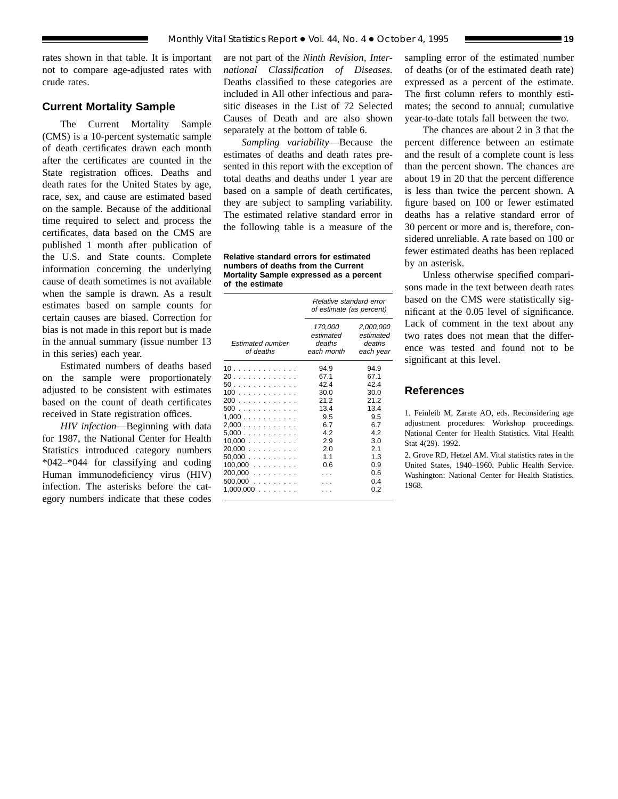rates shown in that table. It is important not to compare age-adjusted rates with crude rates.

## **Current Mortality Sample**

The Current Mortality Sample (CMS) is a 10-percent systematic sample of death certificates drawn each month after the certificates are counted in the State registration offices. Deaths and death rates for the United States by age, race, sex, and cause are estimated based on the sample. Because of the additional time required to select and process the certificates, data based on the CMS are published 1 month after publication of the U.S. and State counts. Complete information concerning the underlying cause of death sometimes is not available when the sample is drawn. As a result estimates based on sample counts for certain causes are biased. Correction for bias is not made in this report but is made in the annual summary (issue number 13 in this series) each year.

Estimated numbers of deaths based on the sample were proportionately adjusted to be consistent with estimates based on the count of death certificates received in State registration offices.

*HIV infection*—Beginning with data for 1987, the National Center for Health Statistics introduced category numbers \*042–\*044 for classifying and coding Human immunodeficiency virus (HIV) infection. The asterisks before the category numbers indicate that these codes

are not part of the *Ninth Revision, International Classification of Diseases.* Deaths classified to these categories are included in All other infectious and parasitic diseases in the List of 72 Selected Causes of Death and are also shown separately at the bottom of table 6.

*Sampling variability*—Because the estimates of deaths and death rates presented in this report with the exception of total deaths and deaths under 1 year are based on a sample of death certificates, they are subject to sampling variability. The estimated relative standard error in the following table is a measure of the

**Relative standard errors for estimated numbers of deaths from the Current Mortality Sample expressed as a percent of the estimate**

|                                                                                                                 | Relative standard error<br>of estimate (as percent)                                         |                                                                                                  |
|-----------------------------------------------------------------------------------------------------------------|---------------------------------------------------------------------------------------------|--------------------------------------------------------------------------------------------------|
| <b>Estimated number</b><br>of deaths                                                                            | 170,000<br>estimated<br>deaths<br>each month                                                | 2,000,000<br>estimated<br>deaths<br>each year                                                    |
| 10.<br>20<br>50.<br>100<br>200<br>500<br>1.000<br>2,000<br>5.000<br>$10,000$<br>$20,000$<br>50,000<br>$100,000$ | 94.9<br>67.1<br>42.4<br>30.0<br>212<br>13.4<br>9.5<br>6.7<br>42<br>2.9<br>2.0<br>1.1<br>0.6 | 94.9<br>67.1<br>424<br>30.0<br>212<br>13.4<br>9.5<br>67<br>42<br>3.0<br>2.1<br>1.3<br>0.9<br>0.6 |
| $200,000$<br>$500,000$<br>1,000,000<br>.                                                                        |                                                                                             | 04<br>0 2                                                                                        |

sampling error of the estimated number of deaths (or of the estimated death rate) expressed as a percent of the estimate. The first column refers to monthly estimates; the second to annual; cumulative year-to-date totals fall between the two.

The chances are about 2 in 3 that the percent difference between an estimate and the result of a complete count is less than the percent shown. The chances are about 19 in 20 that the percent difference is less than twice the percent shown. A figure based on 100 or fewer estimated deaths has a relative standard error of 30 percent or more and is, therefore, considered unreliable. A rate based on 100 or fewer estimated deaths has been replaced by an asterisk.

Unless otherwise specified comparisons made in the text between death rates based on the CMS were statistically significant at the 0.05 level of significance. Lack of comment in the text about any two rates does not mean that the difference was tested and found not to be significant at this level.

## **References**

1. Feinleib M, Zarate AO, eds. Reconsidering age adjustment procedures: Workshop proceedings. National Center for Health Statistics. Vital Health Stat 4(29). 1992.

2. Grove RD, Hetzel AM. Vital statistics rates in the United States, 1940–1960. Public Health Service. Washington: National Center for Health Statistics. 1968.